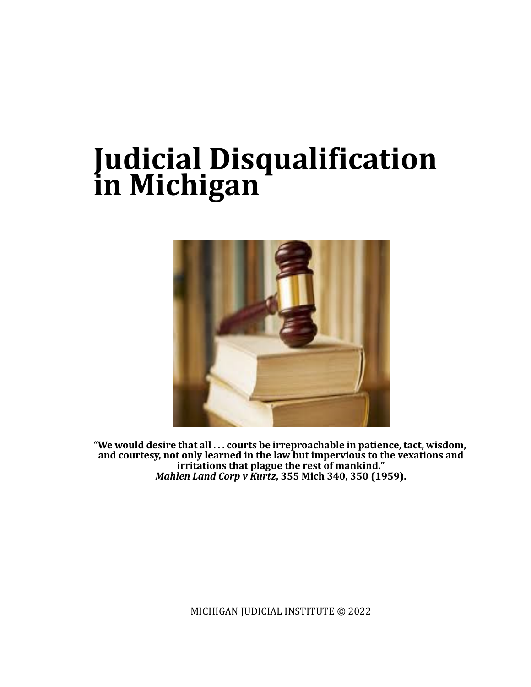# <span id="page-0-1"></span><span id="page-0-0"></span>**Judicial Disqualification**<br> **in Michigan**



**"We would desire that all . . . courts be irreproachable in patience, tact, wisdom, and courtesy, not only learned in the law but impervious to the vexations and irritations that plague the rest of mankind."** *Mahlen Land Corp v Kurtz***, 355 Mich 340, 350 (1959).**

MICHIGAN JUDICIAL INSTITUTE © 2022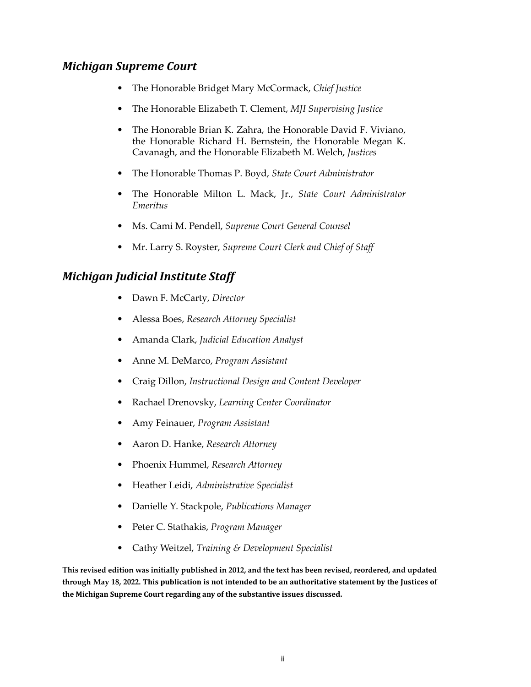#### <span id="page-1-0"></span>*Michigan Supreme Court*

- The Honorable Bridget Mary McCormack, *Chief Justice*
- The Honorable Elizabeth T. Clement, *MJI Supervising Justice*
- The Honorable Brian K. Zahra, the Honorable David F. Viviano, the Honorable Richard H. Bernstein, the Honorable Megan K. Cavanagh, and the Honorable Elizabeth M. Welch, *Justices*
- The Honorable Thomas P. Boyd, *State Court Administrator*
- The Honorable Milton L. Mack, Jr., *State Court Administrator Emeritus*
- Ms. Cami M. Pendell, *Supreme Court General Counsel*
- Mr. Larry S. Royster, *Supreme Court Clerk and Chief of Staff*

#### <span id="page-1-1"></span>*Michigan Judicial Institute Staff*

- Dawn F. McCarty, *Director*
- Alessa Boes, *Research Attorney Specialist*
- Amanda Clark, *Judicial Education Analyst*
- Anne M. DeMarco, *Program Assistant*
- Craig Dillon, *Instructional Design and Content Developer*
- Rachael Drenovsky, *Learning Center Coordinator*
- Amy Feinauer, *Program Assistant*
- Aaron D. Hanke, *Research Attorney*
- Phoenix Hummel, *Research Attorney*
- Heather Leidi, *Administrative Specialist*
- Danielle Y. Stackpole, *Publications Manager*
- Peter C. Stathakis, *Program Manager*
- Cathy Weitzel, *Training & Development Specialist*

**This revised edition was initially published in 2012, and the text has been revised, reordered, and updated through May 18, 2022. This publication is not intended to be an authoritative statement by the Justices of the Michigan Supreme Court regarding any of the substantive issues discussed.**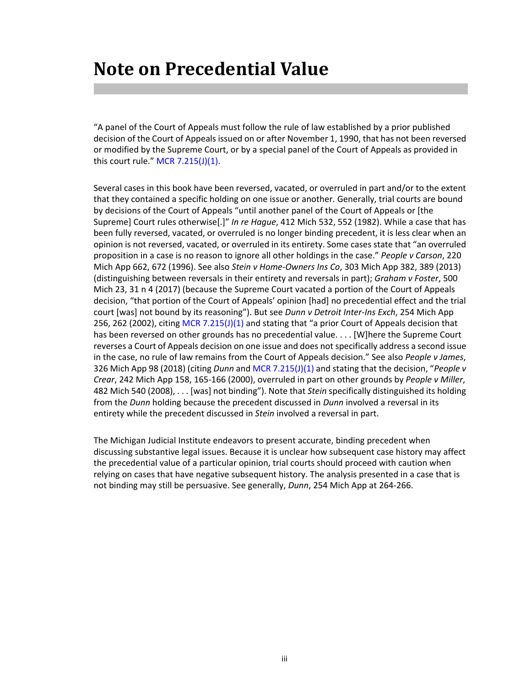# <span id="page-2-1"></span><span id="page-2-0"></span>**Note on Precedential Value**

<span id="page-2-10"></span>"A panel of the Court of Appeals must follow the rule of law established by a prior published decision of the Court of Appeals issued on or after November 1, 1990, that has not been reversed or modified by the Supreme Court, or by a special panel of the Court of Appeals as provided in this court rule." MCR  $7.215(J)(1)$ .

<span id="page-2-9"></span><span id="page-2-5"></span><span id="page-2-4"></span><span id="page-2-3"></span><span id="page-2-2"></span>Several cases in this book have been reversed, vacated, or overruled in part and/or to the extent that they contained a specific holding on one issue or another. Generally, trial courts are bound by decisions of the Court of Appeals "until another panel of the Court of Appeals or [the Supreme] Court rules otherwise[.]" *In re Hague*, 412 Mich 532, 552 (1982). While a case that has been fully reversed, vacated, or overruled is no longer binding precedent, it is less clear when an opinion is not reversed, vacated, or overruled in its entirety. Some cases state that "an overruled proposition in a case is no reason to ignore all other holdings in the case." *People v Carson*, 220 Mich App 662, 672 (1996). See also *Stein v Home-Owners Ins Co*, 303 Mich App 382, 389 (2013) (distinguishing between reversals in their entirety and reversals in part); *Graham v Foster*, 500 Mich 23, 31 n 4 (2017) (because the Supreme Court vacated a portion of the Court of Appeals decision, "that portion of the Court of Appeals' opinion [had] no precedential effect and the trial court [was] not bound by its reasoning"). But see *Dunn v Detroit Inter-Ins Exch*, 254 Mich App 256, 262 (2002), citing [MCR 7.215\(J\)\(1\)](https://courts.michigan.gov/siteassets/rules-instructions-administrative-orders/michigan-court-rules/court-rules-book-ch-7-responsive-html5.zip/index.html) and stating that "a prior Court of Appeals decision that has been reversed on other grounds has no precedential value. . . . [W]here the Supreme Court reverses a Court of Appeals decision on one issue and does not specifically address a second issue in the case, no rule of law remains from the Court of Appeals decision." See also *People v James*, 326 Mich App 98 (2018) (citing *Dunn* and [MCR 7.215\(J\)\(1\)](https://courts.michigan.gov/siteassets/rules-instructions-administrative-orders/michigan-court-rules/court-rules-book-ch-7-responsive-html5.zip/index.html) and stating that the decision, "*People v Crear*, 242 Mich App 158, 165-166 (2000), overruled in part on other grounds by *People v Miller*, 482 Mich 540 (2008), . . . [was] not binding"). Note that *Stein* specifically distinguished its holding from the *Dunn* holding because the precedent discussed in *Dunn* involved a reversal in its entirety while the precedent discussed in *Stein* involved a reversal in part.

<span id="page-2-12"></span><span id="page-2-11"></span><span id="page-2-8"></span><span id="page-2-7"></span><span id="page-2-6"></span>The Michigan Judicial Institute endeavors to present accurate, binding precedent when discussing substantive legal issues. Because it is unclear how subsequent case history may affect the precedential value of a particular opinion, trial courts should proceed with caution when relying on cases that have negative subsequent history. The analysis presented in a case that is not binding may still be persuasive. See generally, *Dunn*, 254 Mich App at 264-266.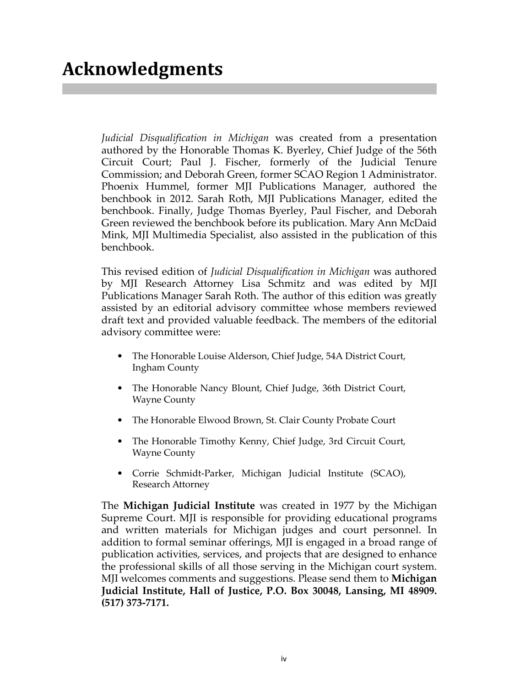<span id="page-3-0"></span>*Judicial Disqualification in Michigan* was created from a presentation authored by the Honorable Thomas K. Byerley, Chief Judge of the 56th Circuit Court; Paul J. Fischer, formerly of the Judicial Tenure Commission; and Deborah Green, former SCAO Region 1 Administrator. Phoenix Hummel, former MJI Publications Manager, authored the benchbook in 2012. Sarah Roth, MJI Publications Manager, edited the benchbook. Finally, Judge Thomas Byerley, Paul Fischer, and Deborah Green reviewed the benchbook before its publication. Mary Ann McDaid Mink, MJI Multimedia Specialist, also assisted in the publication of this benchbook.

This revised edition of *Judicial Disqualification in Michigan* was authored by MJI Research Attorney Lisa Schmitz and was edited by MJI Publications Manager Sarah Roth. The author of this edition was greatly assisted by an editorial advisory committee whose members reviewed draft text and provided valuable feedback. The members of the editorial advisory committee were:

- The Honorable Louise Alderson, Chief Judge, 54A District Court, Ingham County
- The Honorable Nancy Blount, Chief Judge, 36th District Court, Wayne County
- The Honorable Elwood Brown, St. Clair County Probate Court
- The Honorable Timothy Kenny, Chief Judge, 3rd Circuit Court, Wayne County
- Corrie Schmidt-Parker, Michigan Judicial Institute (SCAO), Research Attorney

The **Michigan Judicial Institute** was created in 1977 by the Michigan Supreme Court. MJI is responsible for providing educational programs and written materials for Michigan judges and court personnel. In addition to formal seminar offerings, MJI is engaged in a broad range of publication activities, services, and projects that are designed to enhance the professional skills of all those serving in the Michigan court system. MJI welcomes comments and suggestions. Please send them to **Michigan Judicial Institute, Hall of Justice, P.O. Box 30048, Lansing, MI 48909. (517) 373-7171.**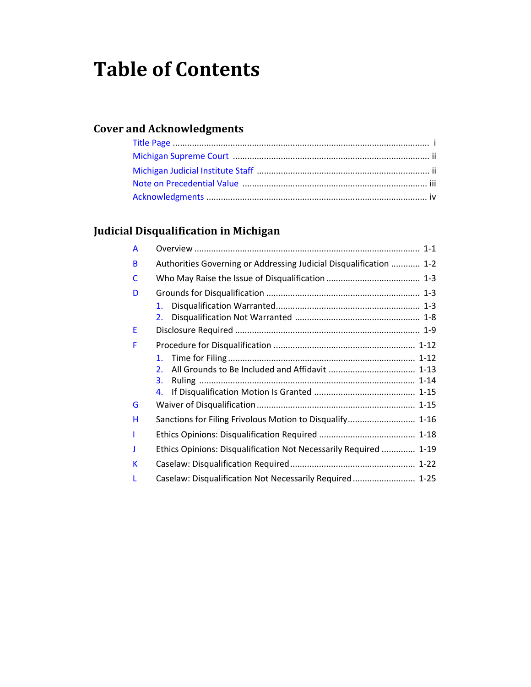# **Table of Contents**

## **Cover and [Acknowledgments](#page-0-0)**

## **Judicial [Disqualification](#page-6-0) in Michigan**

| A | $1 - 1$                                                            |
|---|--------------------------------------------------------------------|
| B | Authorities Governing or Addressing Judicial Disqualification  1-2 |
| C |                                                                    |
| D |                                                                    |
|   | $1_{-}$                                                            |
|   | $2_{-}$                                                            |
| E |                                                                    |
| F |                                                                    |
|   | 1.                                                                 |
|   | $2_{-}$                                                            |
|   | 3.                                                                 |
|   | 4.                                                                 |
| G |                                                                    |
| н | Sanctions for Filing Frivolous Motion to Disqualify 1-16           |
| L |                                                                    |
| J | Ethics Opinions: Disqualification Not Necessarily Required  1-19   |
| К |                                                                    |
|   | Caselaw: Disqualification Not Necessarily Required 1-25            |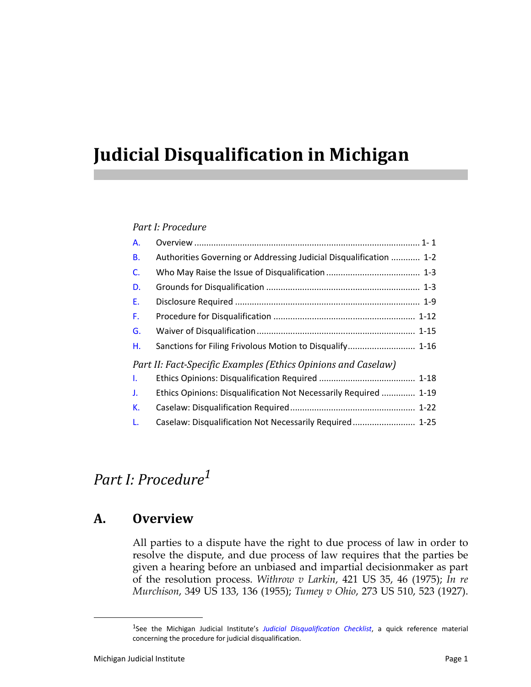# <span id="page-6-0"></span>**Judicial Disqualification in Michigan**

#### *Part I: [Procedure](#page-6-2)*

| А.             |                                                                    |          |
|----------------|--------------------------------------------------------------------|----------|
| В.             | Authorities Governing or Addressing Judicial Disqualification  1-2 |          |
| C.             |                                                                    |          |
| D.             |                                                                    |          |
| Е.             |                                                                    | $1-9$    |
| F.             |                                                                    |          |
| G.             |                                                                    |          |
| Η.             | Sanctions for Filing Frivolous Motion to Disqualify 1-16           |          |
|                | Part II: Fact-Specific Examples (Ethics Opinions and Caselaw)      |          |
| $\mathbf{I}$ . |                                                                    |          |
| J.             | Ethics Opinions: Disqualification Not Necessarily Required  1-19   |          |
| К.             |                                                                    | $1 - 22$ |
| L.             | Caselaw: Disqualification Not Necessarily Required 1-25            |          |

## <span id="page-6-2"></span>*Part I: Procedure1*

#### <span id="page-6-1"></span>**A. Overview**

<span id="page-6-6"></span><span id="page-6-5"></span><span id="page-6-4"></span><span id="page-6-3"></span>All parties to a dispute have the right to due process of law in order to resolve the dispute, and due process of law requires that the parties be given a hearing before an unbiased and impartial decisionmaker as part of the resolution process. *Withrow v Larkin*, 421 US 35, 46 (1975); *In re Murchison*, 349 US 133, 136 (1955); *Tumey v Ohio*, 273 US 510, 523 (1927).

<sup>1</sup>See the Michigan Judicial Institute's *[Judicial Disqualification Checklist](https://mjieducation.mi.gov/documents/judicial-disqualification-qrms/989-judicial-disqualification-checklist)*, a quick reference material concerning the procedure for judicial disqualification.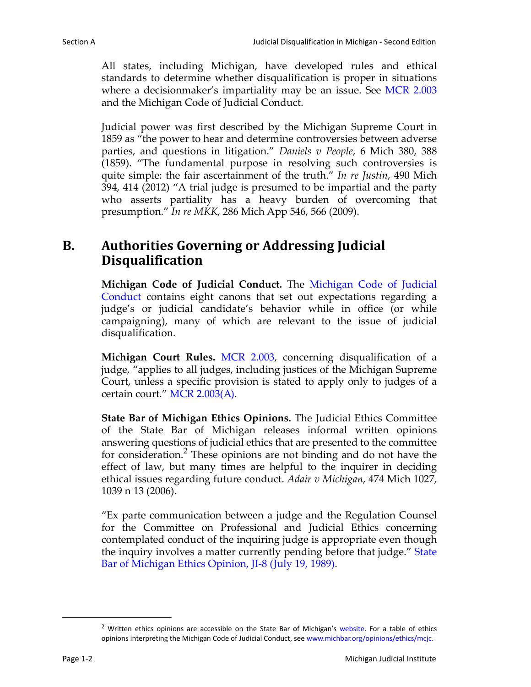<span id="page-7-8"></span>All states, including Michigan, have developed rules and ethical standards to determine whether disqualification is proper in situations where a decisionmaker's impartiality may be an issue. See [MCR 2.003](https://courts.michigan.gov/siteassets/rules-instructions-administrative-orders/michigan-court-rules/court-rules-book-ch-2-responsive-html5.zip/index.html) and the Michigan Code of Judicial Conduct.

<span id="page-7-7"></span><span id="page-7-6"></span><span id="page-7-5"></span>Judicial power was first described by the Michigan Supreme Court in 1859 as "the power to hear and determine controversies between adverse parties, and questions in litigation." *Daniels v People*, 6 Mich 380, 388 (1859). "The fundamental purpose in resolving such controversies is quite simple: the fair ascertainment of the truth." *In re Justin*, 490 Mich 394, 414 (2012) "A trial judge is presumed to be impartial and the party who asserts partiality has a heavy burden of overcoming that presumption." *In re MKK*, 286 Mich App 546, 566 (2009).

## <span id="page-7-0"></span>**B. Authorities Governing or Addressing Judicial Disqualification**

<span id="page-7-3"></span>**Michigan Code of Judicial Conduct.** The [Michigan Code of Judicial](https://courts.michigan.gov/Courts/MichiganSupremeCourt/rules/Documents/Michigan%20Code%20of%20Judicial%20Conduct.pdf) [Conduct](https://courts.michigan.gov/Courts/MichiganSupremeCourt/rules/Documents/Michigan%20Code%20of%20Judicial%20Conduct.pdf) contains eight canons that set out expectations regarding a judge's or judicial candidate's behavior while in office (or while campaigning), many of which are relevant to the issue of judicial disqualification.

<span id="page-7-10"></span><span id="page-7-9"></span><span id="page-7-2"></span>**Michigan Court Rules.** [MCR 2.003,](https://courts.michigan.gov/siteassets/rules-instructions-administrative-orders/michigan-court-rules/court-rules-book-ch-2-responsive-html5.zip/index.html) concerning disqualification of a judge, "applies to all judges, including justices of the Michigan Supreme Court, unless a specific provision is stated to apply only to judges of a certain court." [MCR 2.003\(A\)](https://courts.michigan.gov/siteassets/rules-instructions-administrative-orders/michigan-court-rules/court-rules-book-ch-2-responsive-html5.zip/index.html).

<span id="page-7-1"></span>**State Bar of Michigan Ethics Opinions.** The Judicial Ethics Committee of the State Bar of Michigan releases informal written opinions answering questions of judicial ethics that are presented to the committee for consideration.2 These opinions are not binding and do not have the effect of law, but many times are helpful to the inquirer in deciding ethical issues regarding future conduct. *Adair v Michigan*, 474 Mich 1027, 1039 n 13 (2006).

<span id="page-7-4"></span>"Ex parte communication between a judge and the Regulation Counsel for the Committee on Professional and Judicial Ethics concerning contemplated conduct of the inquiring judge is appropriate even though the inquiry involves a matter currently pending before that judge." [State](http://www.michbar.org/opinions/ethics/numbered_opinions/OpinionID=717) [Bar of Michigan Ethics Opinion, JI-8 \(July 19, 1989\)](http://www.michbar.org/opinions/ethics/numbered_opinions/OpinionID=717).

<sup>&</sup>lt;sup>2</sup> Written ethics opinions are accessible on the State Bar of Michigan's [website](http://www.michbar.org/opinions/ethicsopinions#opinions). For a table of ethics opinions interpreting the Michigan Code of Judicial Conduct, see [www.michbar.org/opinions/ethics/mcjc](http://www.michbar.org/opinions/ethics/mcjc).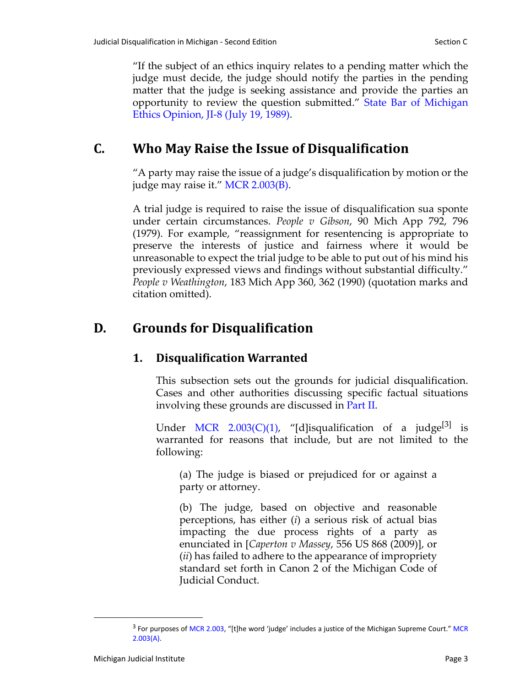"If the subject of an ethics inquiry relates to a pending matter which the judge must decide, the judge should notify the parties in the pending matter that the judge is seeking assistance and provide the parties an opportunity to review the question submitted." [State Bar of Michigan](http://www.michbar.org/opinions/ethics/numbered_opinions/OpinionID=717) [Ethics Opinion, JI-8 \(July 19, 1989\)](http://www.michbar.org/opinions/ethics/numbered_opinions/OpinionID=717).

## <span id="page-8-0"></span>**C. Who May Raise the Issue of Disqualification**

<span id="page-8-10"></span><span id="page-8-4"></span>"A party may raise the issue of a judge's disqualification by motion or the judge may raise it." [MCR 2.003\(B\).](https://courts.michigan.gov/siteassets/rules-instructions-administrative-orders/michigan-court-rules/court-rules-book-ch-2-responsive-html5.zip/index.html)

<span id="page-8-7"></span><span id="page-8-6"></span>A trial judge is required to raise the issue of disqualification sua sponte under certain circumstances. *People v Gibson*, 90 Mich App 792, 796 (1979). For example, "reassignment for resentencing is appropriate to preserve the interests of justice and fairness where it would be unreasonable to expect the trial judge to be able to put out of his mind his previously expressed views and findings without substantial difficulty." *People v Weathington*, 183 Mich App 360, 362 (1990) (quotation marks and citation omitted).

## <span id="page-8-2"></span><span id="page-8-1"></span>**D. Grounds for Disqualification**

#### <span id="page-8-3"></span>**1. Disqualification Warranted**

This subsection sets out the grounds for judicial disqualification. Cases and other authorities discussing specific factual situations involving these grounds are discussed in [Part II](#page-21-1).

<span id="page-8-11"></span>Under [MCR 2.003\(C\)\(1\),](https://courts.michigan.gov/siteassets/rules-instructions-administrative-orders/michigan-court-rules/court-rules-book-ch-2-responsive-html5.zip/index.html) "[d]isqualification of a judge<sup>[3]</sup> is warranted for reasons that include, but are not limited to the following:

(a) The judge is biased or prejudiced for or against a party or attorney.

<span id="page-8-9"></span><span id="page-8-5"></span>(b) The judge, based on objective and reasonable perceptions, has either (*i*) a serious risk of actual bias impacting the due process rights of a party as enunciated in [*Caperton v Massey*, 556 US 868 (2009)], or (*ii*) has failed to adhere to the appearance of impropriety standard set forth in Canon 2 of the Michigan Code of Judicial Conduct.

<span id="page-8-8"></span><sup>&</sup>lt;sup>3</sup> For purposes of [MCR 2.003](https://courts.michigan.gov/siteassets/rules-instructions-administrative-orders/michigan-court-rules/court-rules-book-ch-2-responsive-html5.zip/index.html), "[t]he word 'judge' includes a justice of the Michigan Supreme Court." [MCR](https://courts.michigan.gov/siteassets/rules-instructions-administrative-orders/michigan-court-rules/court-rules-book-ch-2-responsive-html5.zip/index.html) [2.003\(A\)](https://courts.michigan.gov/siteassets/rules-instructions-administrative-orders/michigan-court-rules/court-rules-book-ch-2-responsive-html5.zip/index.html).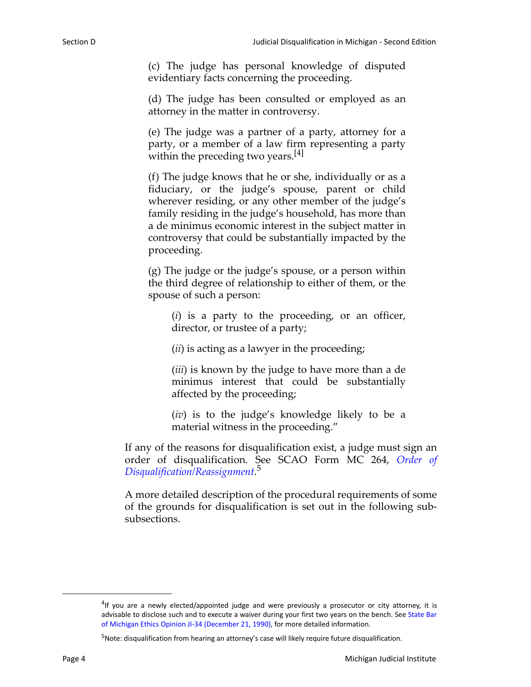(c) The judge has personal knowledge of disputed evidentiary facts concerning the proceeding.

(d) The judge has been consulted or employed as an attorney in the matter in controversy.

(e) The judge was a partner of a party, attorney for a party, or a member of a law firm representing a party within the preceding two years.<sup>[4]</sup>

(f) The judge knows that he or she, individually or as a fiduciary, or the judge's spouse, parent or child wherever residing, or any other member of the judge's family residing in the judge's household, has more than a de minimus economic interest in the subject matter in controversy that could be substantially impacted by the proceeding.

(g) The judge or the judge's spouse, or a person within the third degree of relationship to either of them, or the spouse of such a person:

(*i*) is a party to the proceeding, or an officer, director, or trustee of a party;

(*ii*) is acting as a lawyer in the proceeding;

(*iii*) is known by the judge to have more than a de minimus interest that could be substantially affected by the proceeding;

(*iv*) is to the judge's knowledge likely to be a material witness in the proceeding."

If any of the reasons for disqualification exist, a judge must sign an order of disqualification. See SCAO Form MC 264, *[Order of](https://www.courts.michigan.gov/siteassets/forms/scao-approved/mc264.pdf) [Disqualification/Reassignment](https://www.courts.michigan.gov/siteassets/forms/scao-approved/mc264.pdf)*. 5

A more detailed description of the procedural requirements of some of the grounds for disqualification is set out in the following subsubsections.

 $<sup>4</sup>$ [If you are a newly elected/appointed judge and were previously a prosecutor or city attorney, it is](https://www.michbar.org/opinions/ethics/numbered_opinions?OpinionID=743&Type=6&Index=D)</sup> [advisable to disclose such and to execute a waiver during your first two years on the bench. See S](https://www.michbar.org/opinions/ethics/numbered_opinions?OpinionID=743&Type=6&Index=D)tate Bar of Michigan Ethics Opinion JI-34 (December 21, 1990), for more detailed information.

<sup>&</sup>lt;sup>5</sup>Note: disqualification from hearing an attorney's case will likely require future disqualification.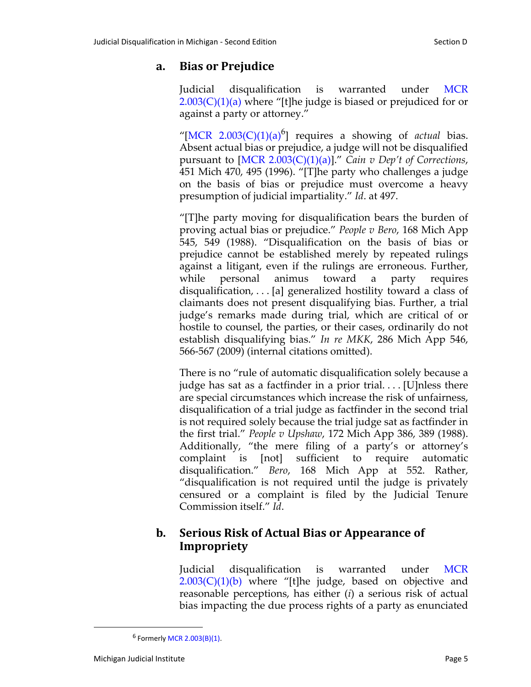#### **a. Bias or Prejudice**

<span id="page-10-7"></span><span id="page-10-0"></span>Judicial disqualification is warranted under [MCR](https://courts.michigan.gov/siteassets/rules-instructions-administrative-orders/michigan-court-rules/court-rules-book-ch-2-responsive-html5.zip/index.html) [2.003\(C\)\(1\)\(a\)](https://courts.michigan.gov/siteassets/rules-instructions-administrative-orders/michigan-court-rules/court-rules-book-ch-2-responsive-html5.zip/index.html) where "[t]he judge is biased or prejudiced for or against a party or attorney."

<span id="page-10-9"></span><span id="page-10-8"></span><span id="page-10-2"></span>"[MCR  $2.003(C)(1)(a)^6$ ] requires a showing of *actual* bias. Absent actual bias or prejudice, a judge will not be disqualified pursuant to [\[MCR 2.003\(C\)\(1\)\(a\)\]](https://courts.michigan.gov/siteassets/rules-instructions-administrative-orders/michigan-court-rules/court-rules-book-ch-2-responsive-html5.zip/index.html)." *Cain v Dep't of Corrections*, 451 Mich 470, 495 (1996). "[T]he party who challenges a judge on the basis of bias or prejudice must overcome a heavy presumption of judicial impartiality." *Id*. at 497.

<span id="page-10-4"></span>"[T]he party moving for disqualification bears the burden of proving actual bias or prejudice." *People v Bero*, 168 Mich App 545, 549 (1988). "Disqualification on the basis of bias or prejudice cannot be established merely by repeated rulings against a litigant, even if the rulings are erroneous. Further, while personal animus toward a party requires disqualification, . . . [a] generalized hostility toward a class of claimants does not present disqualifying bias. Further, a trial judge's remarks made during trial, which are critical of or hostile to counsel, the parties, or their cases, ordinarily do not establish disqualifying bias." *In re MKK*, 286 Mich App 546, 566-567 (2009) (internal citations omitted).

<span id="page-10-5"></span><span id="page-10-3"></span>There is no "rule of automatic disqualification solely because a judge has sat as a factfinder in a prior trial.... [U]nless there are special circumstances which increase the risk of unfairness, disqualification of a trial judge as factfinder in the second trial is not required solely because the trial judge sat as factfinder in the first trial." *People v Upshaw*, 172 Mich App 386, 389 (1988). Additionally, "the mere filing of a party's or attorney's complaint is [not] sufficient to require automatic disqualification." *Bero*, 168 Mich App at 552. Rather, "disqualification is not required until the judge is privately censured or a complaint is filed by the Judicial Tenure Commission itself." *Id*.

#### **b. Serious Risk of Actual Bias or Appearance of Impropriety**

<span id="page-10-10"></span><span id="page-10-1"></span>Judicial disqualification is warranted under [MCR](https://courts.michigan.gov/siteassets/rules-instructions-administrative-orders/michigan-court-rules/court-rules-book-ch-2-responsive-html5.zip/index.html)  $2.003(C)(1)(b)$  where "[t]he judge, based on objective and reasonable perceptions, has either (*i*) a serious risk of actual bias impacting the due process rights of a party as enunciated

<span id="page-10-6"></span><sup>6</sup> Formerly [MCR 2.003\(B\)\(1\).](https://courts.michigan.gov/siteassets/rules-instructions-administrative-orders/michigan-court-rules/court-rules-book-ch-2-responsive-html5.zip/index.html)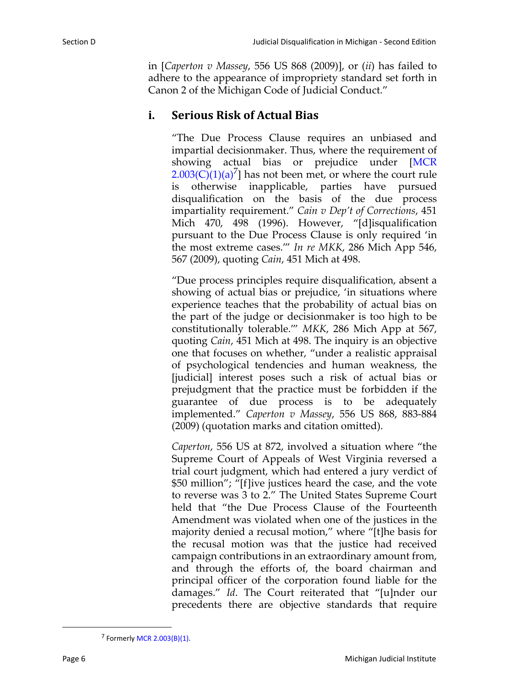<span id="page-11-4"></span>in [*Caperton v Massey*, 556 US 868 (2009)], or (*ii*) has failed to adhere to the appearance of impropriety standard set forth in Canon 2 of the Michigan Code of Judicial Conduct."

#### <span id="page-11-0"></span>**i. Serious Risk of Actual Bias**

<span id="page-11-9"></span><span id="page-11-1"></span>"The Due Process Clause requires an unbiased and impartial decisionmaker. Thus, where the requirement of showing actual bias or prejudice under [\[MCR](https://courts.michigan.gov/siteassets/rules-instructions-administrative-orders/michigan-court-rules/court-rules-book-ch-2-responsive-html5.zip/index.html)  $2.003(C)(1)(a)$  has not been met, or where the court rule is otherwise inapplicable, parties have pursued disqualification on the basis of the due process impartiality requirement." *Cain v Dep't of Corrections*, 451 Mich 470, 498 (1996). However, "[d]isqualification pursuant to the Due Process Clause is only required 'in the most extreme cases.'" *In re MKK*, 286 Mich App 546, 567 (2009), quoting *Cain*, 451 Mich at 498.

<span id="page-11-7"></span><span id="page-11-6"></span><span id="page-11-3"></span><span id="page-11-2"></span>"Due process principles require disqualification, absent a showing of actual bias or prejudice, 'in situations where experience teaches that the probability of actual bias on the part of the judge or decisionmaker is too high to be constitutionally tolerable.'" *MKK*, 286 Mich App at 567, quoting *Cain*, 451 Mich at 498. The inquiry is an objective one that focuses on whether, "under a realistic appraisal of psychological tendencies and human weakness, the [judicial] interest poses such a risk of actual bias or prejudgment that the practice must be forbidden if the guarantee of due process is to be adequately implemented." *Caperton v Massey*, 556 US 868, 883-884 (2009) (quotation marks and citation omitted).

<span id="page-11-5"></span>*Caperton*, 556 US at 872, involved a situation where "the Supreme Court of Appeals of West Virginia reversed a trial court judgment, which had entered a jury verdict of \$50 million"; "[f]ive justices heard the case, and the vote to reverse was 3 to 2." The United States Supreme Court held that "the Due Process Clause of the Fourteenth Amendment was violated when one of the justices in the majority denied a recusal motion," where "[t]he basis for the recusal motion was that the justice had received campaign contributions in an extraordinary amount from, and through the efforts of, the board chairman and principal officer of the corporation found liable for the damages." *Id*. The Court reiterated that "[u]nder our precedents there are objective standards that require

<span id="page-11-8"></span> $<sup>7</sup>$  Formerly [MCR 2.003\(B\)\(1\).](https://courts.michigan.gov/siteassets/rules-instructions-administrative-orders/michigan-court-rules/court-rules-book-ch-2-responsive-html5.zip/index.html)</sup>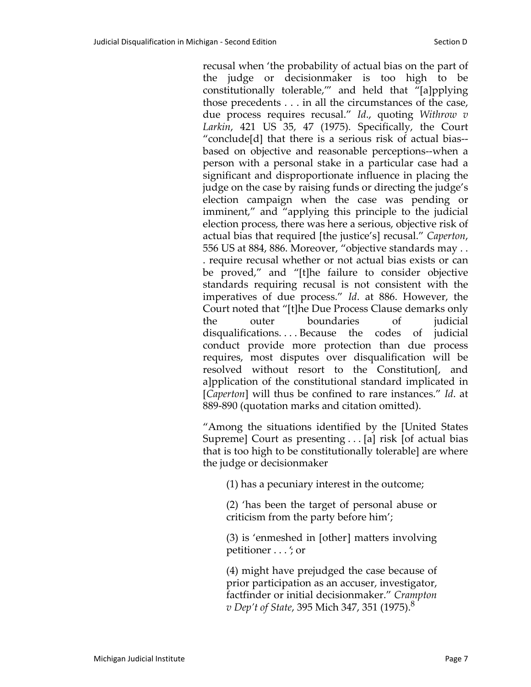<span id="page-12-1"></span>recusal when 'the probability of actual bias on the part of the judge or decisionmaker is too high to be constitutionally tolerable,'" and held that "[a]pplying those precedents . . . in all the circumstances of the case, due process requires recusal." *Id*., quoting *Withrow v Larkin*, 421 US 35, 47 (1975). Specifically, the Court "conclude[d] that there is a serious risk of actual bias- based on objective and reasonable perceptions--when a person with a personal stake in a particular case had a significant and disproportionate influence in placing the judge on the case by raising funds or directing the judge's election campaign when the case was pending or imminent," and "applying this principle to the judicial election process, there was here a serious, objective risk of actual bias that required [the justice's] recusal." *Caperton*, 556 US at 884, 886. Moreover, "objective standards may . . . require recusal whether or not actual bias exists or can be proved," and "[t]he failure to consider objective standards requiring recusal is not consistent with the imperatives of due process." *Id*. at 886. However, the Court noted that "[t]he Due Process Clause demarks only the outer boundaries of judicial disqualifications. . . . Because the codes of judicial conduct provide more protection than due process requires, most disputes over disqualification will be resolved without resort to the Constitution[, and a]pplication of the constitutional standard implicated in [*Caperton*] will thus be confined to rare instances." *Id*. at 889-890 (quotation marks and citation omitted).

"Among the situations identified by the [United States Supreme] Court as presenting . . . [a] risk [of actual bias that is too high to be constitutionally tolerable] are where the judge or decisionmaker

(1) has a pecuniary interest in the outcome;

(2) 'has been the target of personal abuse or criticism from the party before him';

(3) is 'enmeshed in [other] matters involving petitioner . . . '; or

<span id="page-12-0"></span>(4) might have prejudged the case because of prior participation as an accuser, investigator, factfinder or initial decisionmaker." *Crampton v Dep't of State*, 395 Mich 347, 351 (1975).8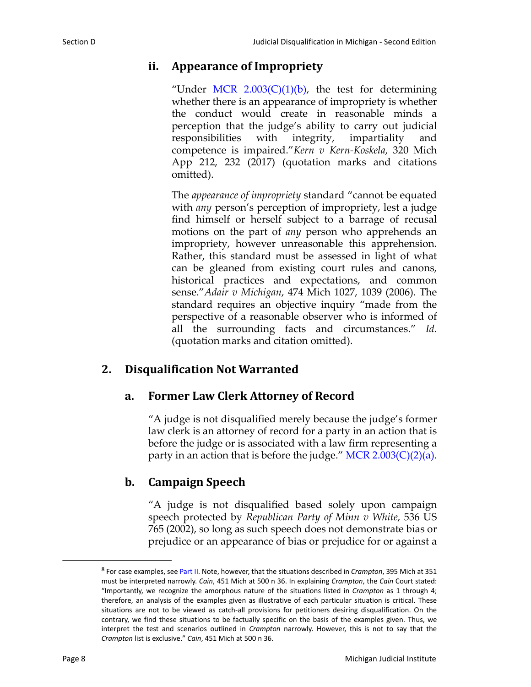#### **ii. Appearance of Impropriety**

<span id="page-13-8"></span><span id="page-13-6"></span>"Under MCR  $2.003(C)(1)(b)$ , the test for determining whether there is an appearance of impropriety is whether the conduct would create in reasonable minds a perception that the judge's ability to carry out judicial responsibilities with integrity, impartiality and competence is impaired."*Kern v Kern-Koskela*, 320 Mich App 212, 232 (2017) (quotation marks and citations omitted).

<span id="page-13-3"></span>The *appearance of impropriety* standard "cannot be equated with *any* person's perception of impropriety, lest a judge find himself or herself subject to a barrage of recusal motions on the part of *any* person who apprehends an impropriety, however unreasonable this apprehension. Rather, this standard must be assessed in light of what can be gleaned from existing court rules and canons, historical practices and expectations, and common sense."*Adair v Michigan*, 474 Mich 1027, 1039 (2006). The standard requires an objective inquiry "made from the perspective of a reasonable observer who is informed of all the surrounding facts and circumstances." *Id*. (quotation marks and citation omitted).

#### <span id="page-13-0"></span>**2. Disqualification Not Warranted**

#### **a. Former Law Clerk Attorney of Record**

<span id="page-13-9"></span><span id="page-13-2"></span>"A judge is not disqualified merely because the judge's former law clerk is an attorney of record for a party in an action that is before the judge or is associated with a law firm representing a party in an action that is before the judge." MCR  $2.003(C)(2)(a)$ .

#### **b. Campaign Speech**

<span id="page-13-7"></span><span id="page-13-4"></span><span id="page-13-1"></span>"A judge is not disqualified based solely upon campaign speech protected by *Republican Party of Minn v White*, 536 US 765 (2002), so long as such speech does not demonstrate bias or prejudice or an appearance of bias or prejudice for or against a

<span id="page-13-5"></span><sup>8</sup> For case examples, see [Part II.](#page-21-1) Note, however, that the situations described in *Crampton*, 395 Mich at 351 must be interpreted narrowly. *Cain*, 451 Mich at 500 n 36. In explaining *Crampton*, the *Cain* Court stated: "Importantly, we recognize the amorphous nature of the situations listed in *Crampton* as 1 through 4; therefore, an analysis of the examples given as illustrative of each particular situation is critical. These situations are not to be viewed as catch-all provisions for petitioners desiring disqualification. On the contrary, we find these situations to be factually specific on the basis of the examples given. Thus, we interpret the test and scenarios outlined in *Crampton* narrowly. However, this is not to say that the *Crampton* list is exclusive." *Cain*, 451 Mich at 500 n 36.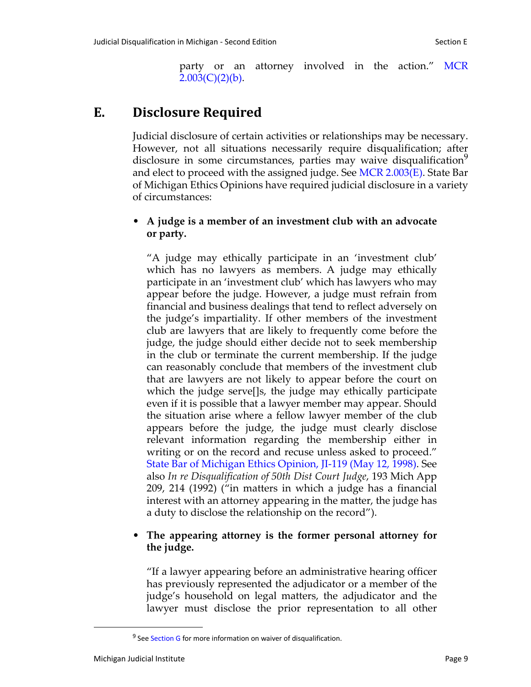<span id="page-14-6"></span><span id="page-14-5"></span>party or an attorney involved in the action." [MCR](https://courts.michigan.gov/siteassets/rules-instructions-administrative-orders/michigan-court-rules/court-rules-book-ch-2-responsive-html5.zip/index.html)  $2.003(C)(2)(b)$ .

### <span id="page-14-0"></span>**E. Disclosure Required**

<span id="page-14-1"></span>Judicial disclosure of certain activities or relationships may be necessary. However, not all situations necessarily require disqualification; after disclosure in some circumstances, parties may waive disqualification<sup>9</sup> and elect to proceed with the assigned judge. See MCR  $2.003(E)$ . State Bar of Michigan Ethics Opinions have required judicial disclosure in a variety of circumstances:

#### <span id="page-14-3"></span>• **A judge is a member of an investment club with an advocate or party.**

"A judge may ethically participate in an 'investment club' which has no lawyers as members. A judge may ethically participate in an 'investment club' which has lawyers who may appear before the judge. However, a judge must refrain from financial and business dealings that tend to reflect adversely on the judge's impartiality. If other members of the investment club are lawyers that are likely to frequently come before the judge, the judge should either decide not to seek membership in the club or terminate the current membership. If the judge can reasonably conclude that members of the investment club that are lawyers are not likely to appear before the court on which the judge serve[]s, the judge may ethically participate even if it is possible that a lawyer member may appear. Should the situation arise where a fellow lawyer member of the club appears before the judge, the judge must clearly disclose relevant information regarding the membership either in writing or on the record and recuse unless asked to proceed." [State Bar of Michigan Ethics Opinion, JI-119 \(May 12, 1998\)](http://www.michbar.org/opinions/ethics/numbered_opinions/OpinionID=828). See also *In re Disqualification of 50th Dist Court Judge*, 193 Mich App 209, 214 (1992) ("in matters in which a judge has a financial interest with an attorney appearing in the matter, the judge has a duty to disclose the relationship on the record").

#### <span id="page-14-4"></span><span id="page-14-2"></span>• **The appearing attorney is the former personal attorney for the judge.**

"If a lawyer appearing before an administrative hearing officer has previously represented the adjudicator or a member of the judge's household on legal matters, the adjudicator and the lawyer must disclose the prior representation to all other

<sup>&</sup>lt;sup>9</sup> See [Section G](#page-20-1) for more information on waiver of disqualification.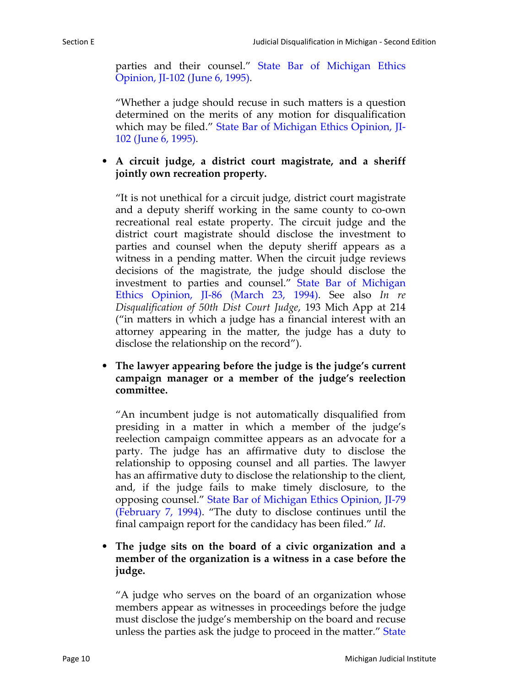parties and their counsel." [State Bar of Michigan Ethics](http://www.michbar.org/opinions/ethics/numbered_opinions/OpinionID=811) [Opinion, JI-102 \(June 6, 1995\).](http://www.michbar.org/opinions/ethics/numbered_opinions/OpinionID=811)

"Whether a judge should recuse in such matters is a question determined on the merits of any motion for disqualification which may be filed." [State Bar of Michigan Ethics Opinion, JI-](http://www.michbar.org/opinions/ethics/numbered_opinions/OpinionID=811)[102 \(June 6, 1995\).](http://www.michbar.org/opinions/ethics/numbered_opinions/OpinionID=811)

#### <span id="page-15-2"></span>• **A circuit judge, a district court magistrate, and a sheriff jointly own recreation property.**

<span id="page-15-3"></span>"It is not unethical for a circuit judge, district court magistrate and a deputy sheriff working in the same county to co-own recreational real estate property. The circuit judge and the district court magistrate should disclose the investment to parties and counsel when the deputy sheriff appears as a witness in a pending matter. When the circuit judge reviews decisions of the magistrate, the judge should disclose th[e](http://www.michbar.org/opinions/ethics/numbered_opinions/OpinionID=795) investment to parties and counsel." [State Bar of Michigan](http://www.michbar.org/opinions/ethics/numbered_opinions/OpinionID=795) [Ethics Opinion, JI-86 \(March 23, 1994\).](http://www.michbar.org/opinions/ethics/numbered_opinions/OpinionID=795) See also *In re Disqualification of 50th Dist Court Judge*, 193 Mich App at 214 ("in matters in which a judge has a financial interest with an attorney appearing in the matter, the judge has a duty to disclose the relationship on the record").

<span id="page-15-0"></span>• **The lawyer appearing before the judge is the judge's current campaign manager or a member of the judge's reelection committee.**

"An incumbent judge is not automatically disqualified from presiding in a matter in which a member of the judge's reelection campaign committee appears as an advocate for a party. The judge has an affirmative duty to disclose the relationship to opposing counsel and all parties. The lawyer has an affirmative duty to disclose the relationship to the client, and, if the judge fails to make timely disclosure, to the opposing counsel." [State Bar of Michigan Ethics Opinion, JI-79](http://www.michbar.org/opinions/ethics/numbered_opinions/OpinionID=788) [\(February 7, 1994\).](http://www.michbar.org/opinions/ethics/numbered_opinions/OpinionID=788) "The duty to disclose continues until the final campaign report for the candidacy has been filed." *Id*.

<span id="page-15-1"></span>• **The judge sits on the board of a civic organization and a member of the organization is a witness in a case before the judge.** 

"A judge who serves on the board of an organization whose members appear as witnesses in proceedings before the judge must disclose the judge's membership on the board and recuse unless the parties ask the judge to proceed in the matter." [State](http://www.michbar.org/opinions/ethics/numbered_opinions/OpinionID=775)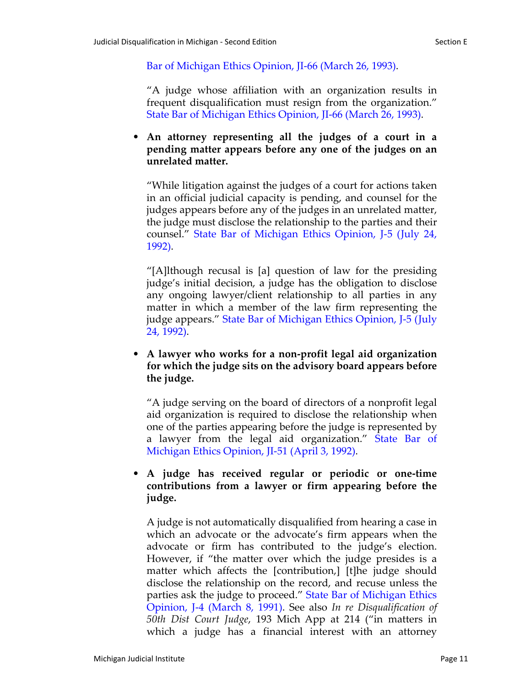[Bar of Michigan Ethics Opinion, JI-66 \(March 26, 1993\).](http://www.michbar.org/opinions/ethics/numbered_opinions/OpinionID=775)

"A judge whose affiliation with an organization results in frequent disqualification must resign from the organization." [State Bar of Michigan Ethics Opinion, JI-66 \(March 26, 1993\).](http://www.michbar.org/opinions/ethics/numbered_opinions/OpinionID=775)

#### <span id="page-16-0"></span>• **An attorney representing all the judges of a court in a pending matter appears before any one of the judges on an unrelated matter.**

"While litigation against the judges of a court for actions taken in an official judicial capacity is pending, and counsel for the judges appears before any of the judges in an unrelated matter, the judge must disclose the relationship to the parties and thei[r](http://www.michbar.org/opinions/ethics/numbered_opinions/OpinionID=706) counsel." [State Bar of Michigan Ethics Opinion, J-5 \(July 24,](http://www.michbar.org/opinions/ethics/numbered_opinions/OpinionID=706) [1992\)](http://www.michbar.org/opinions/ethics/numbered_opinions/OpinionID=706).

"[A]lthough recusal is [a] question of law for the presiding judge's initial decision, a judge has the obligation to disclose any ongoing lawyer/client relationship to all parties in any matter in which a member of the law firm representing the judge appears." [State Bar of Michigan Ethics Opinion, J-5 \(July](http://www.michbar.org/opinions/ethics/numbered_opinions/OpinionID=706) [24, 1992\)](http://www.michbar.org/opinions/ethics/numbered_opinions/OpinionID=706).

#### <span id="page-16-1"></span>• **A lawyer who works for a non-profit legal aid organization for which the judge sits on the advisory board appears before the judge.**

"A judge serving on the board of directors of a nonprofit legal aid organization is required to disclose the relationship when one of the parties appearing before the judge is represented by a lawyer from the legal aid organization." [State Bar of](http://www.michbar.org/opinions/ethics/numbered_opinions/OpinionID=760) [Michigan Ethics Opinion, JI-51 \(April 3, 1992\).](http://www.michbar.org/opinions/ethics/numbered_opinions/OpinionID=760)

#### <span id="page-16-2"></span>• **A judge has received regular or periodic or one-time contributions from a lawyer or firm appearing before the judge.**

<span id="page-16-3"></span>A judge is not automatically disqualified from hearing a case in which an advocate or the advocate's firm appears when the advocate or firm has contributed to the judge's election. However, if "the matter over which the judge presides is a matter which affects the [contribution,] [t]he judge should disclose the relationship on the record, and recuse unless th[e](http://www.michbar.org/opinions/ethics/numbered_opinions/OpinionID=705) parties ask the judge to proceed." [State Bar of Michigan Ethics](http://www.michbar.org/opinions/ethics/numbered_opinions/OpinionID=705) [Opinion, J-4 \(March 8, 1991\).](http://www.michbar.org/opinions/ethics/numbered_opinions/OpinionID=705) See also *In re Disqualification of 50th Dist Court Judge*, 193 Mich App at 214 ("in matters in which a judge has a financial interest with an attorney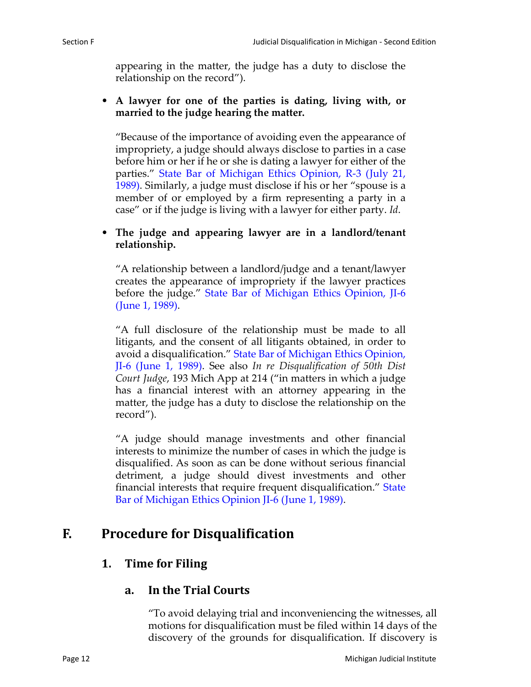<span id="page-17-2"></span>appearing in the matter, the judge has a duty to disclose the relationship on the record").

• **A lawyer for one of the parties is dating, living with, or married to the judge hearing the matter.**

"Because of the importance of avoiding even the appearance of impropriety, a judge should always disclose to parties in a case before him or her if he or she is dating a lawyer for either of the parties." [State Bar of Michigan Ethics Opinion, R-3 \(July 21,](http://www.michbar.org/opinions/ethics/numbered_opinions/OpinionID=852) [1989\)](http://www.michbar.org/opinions/ethics/numbered_opinions/OpinionID=852). Similarly, a judge must disclose if his or her "spouse is a member of or employed by a firm representing a party in a case" or if the judge is living with a lawyer for either party. *Id*.

#### <span id="page-17-3"></span>• **The judge and appearing lawyer are in a landlord/tenant relationship.**

"A relationship between a landlord/judge and a tenant/lawyer creates the appearance of impropriety if the lawyer practices before the judge." [State Bar of Michigan Ethics Opinion, JI-6](http://www.michbar.org/opinions/ethics/numbered_opinions/OpinionID=715) [\(June 1, 1989\).](http://www.michbar.org/opinions/ethics/numbered_opinions/OpinionID=715)

<span id="page-17-7"></span>"A full disclosure of the relationship must be made to all litigants, and the consent of all litigants obtained, in order t[o](http://www.michbar.org/opinions/ethics/numbered_opinions/OpinionID=715) avoid a disqualification." [State Bar of Michigan Ethics Opinion,](http://www.michbar.org/opinions/ethics/numbered_opinions/OpinionID=715) [JI-6 \(June 1, 1989\)](http://www.michbar.org/opinions/ethics/numbered_opinions/OpinionID=715). See also *In re Disqualification of 50th Dist Court Judge*, 193 Mich App at 214 ("in matters in which a judge has a financial interest with an attorney appearing in the matter, the judge has a duty to disclose the relationship on the record").

"A judge should manage investments and other financial interests to minimize the number of cases in which the judge is disqualified. As soon as can be done without serious financial detriment, a judge should divest investments and othe[r](http://www.michbar.org/opinions/ethics/numbered_opinions/OpinionID=715) financial interests that require frequent disqualification." [State](http://www.michbar.org/opinions/ethics/numbered_opinions/OpinionID=715) [Bar of Michigan Ethics Opinion JI-6 \(June 1, 1989\).](http://www.michbar.org/opinions/ethics/numbered_opinions/OpinionID=715)

## <span id="page-17-1"></span><span id="page-17-0"></span>**F. Procedure for Disqualification**

#### <span id="page-17-4"></span>**1. Time for Filing**

#### <span id="page-17-5"></span>**a. In the Trial Courts**

<span id="page-17-6"></span>"To avoid delaying trial and inconveniencing the witnesses, all motions for disqualification must be filed within 14 days of the discovery of the grounds for disqualification. If discovery is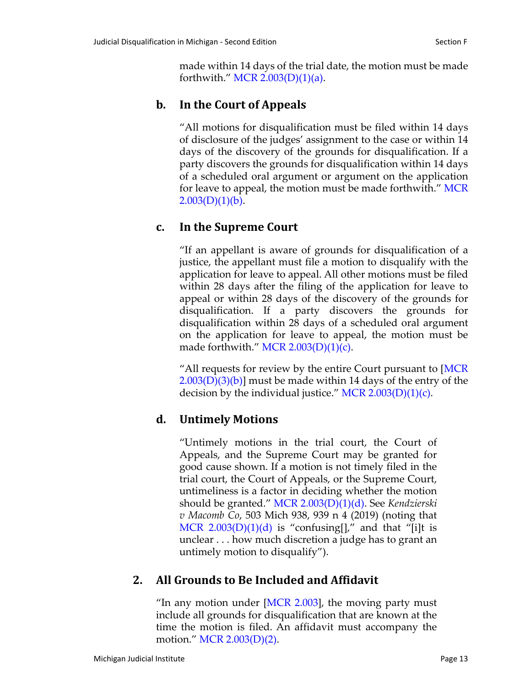<span id="page-18-6"></span><span id="page-18-1"></span>made within 14 days of the trial date, the motion must be made forthwith." MCR  $2.003(D)(1)(a)$ .

#### **b. In the Court of Appeals**

<span id="page-18-7"></span>"All motions for disqualification must be filed within 14 days of disclosure of the judges' assignment to the case or within 14 days of the discovery of the grounds for disqualification. If a party discovers the grounds for disqualification within 14 days of a scheduled oral argument or argument on the application for leave to appeal, the motion must be made forthwith." [MCR](https://courts.michigan.gov/siteassets/rules-instructions-administrative-orders/michigan-court-rules/court-rules-book-ch-2-responsive-html5.zip/index.html)  $2.003(D)(1)(b)$ .

#### **c. In the Supreme Court**

<span id="page-18-2"></span>"If an appellant is aware of grounds for disqualification of a justice, the appellant must file a motion to disqualify with the application for leave to appeal. All other motions must be filed within 28 days after the filing of the application for leave to appeal or within 28 days of the discovery of the grounds for disqualification. If a party discovers the grounds for disqualification within 28 days of a scheduled oral argument on the application for leave to appeal, the motion must be made forthwith."  $MCR$  2.003(D)(1)(c).

<span id="page-18-10"></span><span id="page-18-9"></span><span id="page-18-8"></span>"All requests for review by the entire Court pursuant to [\[MCR](https://courts.michigan.gov/siteassets/rules-instructions-administrative-orders/michigan-court-rules/court-rules-book-ch-2-responsive-html5.zip/index.html)  $2.003(D)(3)(b)$ ] must be made within 14 days of the entry of the decision by the individual justice." MCR  $2.003(D)(1)(c)$ .

#### **d. Untimely Motions**

<span id="page-18-11"></span><span id="page-18-4"></span><span id="page-18-3"></span>"Untimely motions in the trial court, the Court of Appeals, and the Supreme Court may be granted for good cause shown. If a motion is not timely filed in the trial court, the Court of Appeals, or the Supreme Court, untimeliness is a factor in deciding whether the motion should be granted." [MCR 2.003\(D\)\(1\)\(d\)](https://courts.michigan.gov/siteassets/rules-instructions-administrative-orders/michigan-court-rules/court-rules-book-ch-2-responsive-html5.zip/index.html). See *Kendzierski v Macomb Co*, 503 Mich 938, 939 n 4 (2019) (noting that MCR  $2.003(D)(1)(d)$  is "confusing[]," and that "[i]t is unclear . . . how much discretion a judge has to grant an untimely motion to disqualify").

#### <span id="page-18-12"></span><span id="page-18-0"></span>**2. All Grounds to Be Included and Affidavit**

<span id="page-18-13"></span><span id="page-18-5"></span>"In any motion under  $[MCR 2.003]$  $[MCR 2.003]$ , the moving party must include all grounds for disqualification that are known at the time the motion is filed. An affidavit must accompany the motion." [MCR 2.003\(D\)\(2\)](https://courts.michigan.gov/siteassets/rules-instructions-administrative-orders/michigan-court-rules/court-rules-book-ch-2-responsive-html5.zip/index.html).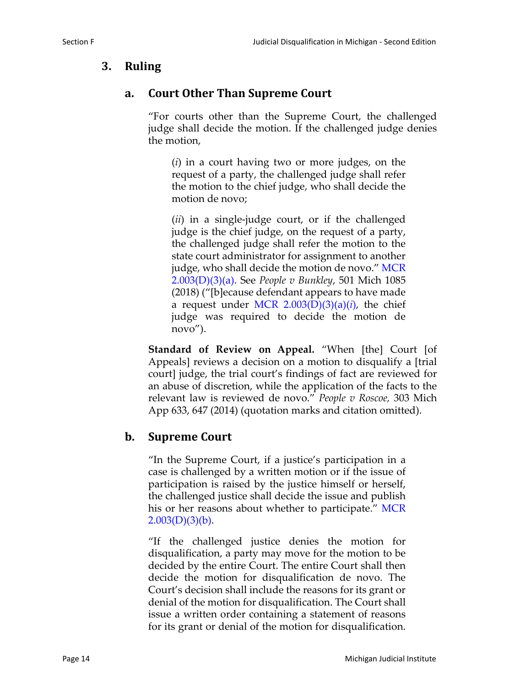#### <span id="page-19-1"></span><span id="page-19-0"></span>**3. Ruling**

#### **a. Court Other Than Supreme Court**

<span id="page-19-3"></span>"For courts other than the Supreme Court, the challenged judge shall decide the motion. If the challenged judge denies the motion,

(*i*) in a court having two or more judges, on the request of a party, the challenged judge shall refer the motion to the chief judge, who shall decide the motion de novo;

<span id="page-19-7"></span><span id="page-19-6"></span><span id="page-19-4"></span>(*ii*) in a single-judge court, or if the challenged judge is the chief judge, on the request of a party, the challenged judge shall refer the motion to the state court administrator for assignment to another judge, who shall decide the motion de novo." [MCR](https://courts.michigan.gov/siteassets/rules-instructions-administrative-orders/michigan-court-rules/court-rules-book-ch-2-responsive-html5.zip/index.html) [2.003\(D\)\(3\)\(a\)](https://courts.michigan.gov/siteassets/rules-instructions-administrative-orders/michigan-court-rules/court-rules-book-ch-2-responsive-html5.zip/index.html). See *People v Bunkley*, 501 Mich 1085 (2018) ("[b]ecause defendant appears to have made a request under MCR  $2.003(D)(3)(a)(i)$  $2.003(D)(3)(a)(i)$  $2.003(D)(3)(a)(i)$ , the chief judge was required to decide the motion de novo").

<span id="page-19-5"></span>**Standard of Review on Appeal.** "When [the] Court [of Appeals] reviews a decision on a motion to disqualify a [trial court] judge, the trial court's findings of fact are reviewed for an abuse of discretion, while the application of the facts to the relevant law is reviewed de novo." *People v Roscoe,* 303 Mich App 633, 647 (2014) (quotation marks and citation omitted).

#### **b. Supreme Court**

<span id="page-19-8"></span><span id="page-19-2"></span>"In the Supreme Court, if a justice's participation in a case is challenged by a written motion or if the issue of participation is raised by the justice himself or herself, the challenged justice shall decide the issue and publish his or her reasons about whether to participate." [MCR](https://courts.michigan.gov/siteassets/rules-instructions-administrative-orders/michigan-court-rules/court-rules-book-ch-2-responsive-html5.zip/index.html)  $2.003(D)(3)(b)$ .

"If the challenged justice denies the motion for disqualification, a party may move for the motion to be decided by the entire Court. The entire Court shall then decide the motion for disqualification de novo. The Court's decision shall include the reasons for its grant or denial of the motion for disqualification. The Court shall issue a written order containing a statement of reasons for its grant or denial of the motion for disqualification.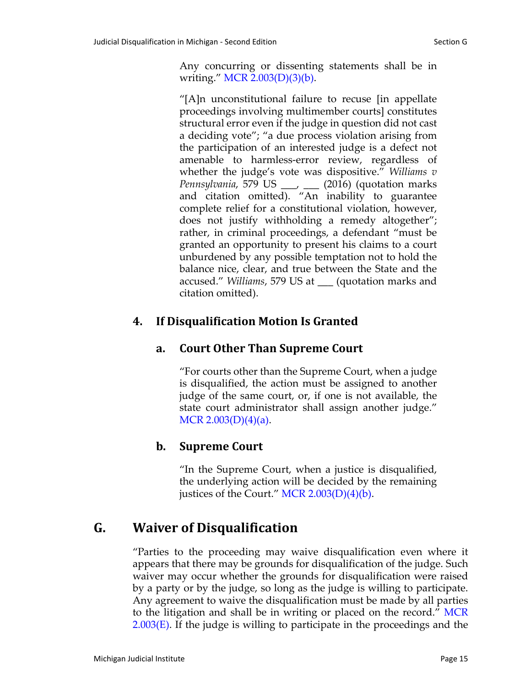<span id="page-20-7"></span>Any concurring or dissenting statements shall be in writing." [MCR 2.003\(D\)\(3\)\(b\).](https://courts.michigan.gov/siteassets/rules-instructions-administrative-orders/michigan-court-rules/court-rules-book-ch-2-responsive-html5.zip/index.html)

<span id="page-20-6"></span>"[A]n unconstitutional failure to recuse [in appellate proceedings involving multimember courts] constitutes structural error even if the judge in question did not cast a deciding vote"; "a due process violation arising from the participation of an interested judge is a defect not amenable to harmless-error review, regardless of whether the judge's vote was dispositive." *Williams v Pennsylvania*, 579 US \_\_\_, \_\_\_ (2016) (quotation marks and citation omitted). "An inability to guarantee complete relief for a constitutional violation, however, does not justify withholding a remedy altogether"; rather, in criminal proceedings, a defendant "must be granted an opportunity to present his claims to a court unburdened by any possible temptation not to hold the balance nice, clear, and true between the State and the accused." *Williams*, 579 US at \_\_\_ (quotation marks and citation omitted).

#### <span id="page-20-0"></span>**4. If Disqualification Motion Is Granted**

#### **a. Court Other Than Supreme Court**

<span id="page-20-8"></span><span id="page-20-4"></span><span id="page-20-2"></span>"For courts other than the Supreme Court, when a judge is disqualified, the action must be assigned to another judge of the same court, or, if one is not available, the state court administrator shall assign another judge." MCR  $2.003(D)(4)(a)$ .

#### **b. Supreme Court**

<span id="page-20-10"></span><span id="page-20-9"></span><span id="page-20-3"></span>"In the Supreme Court, when a justice is disqualified, the underlying action will be decided by the remaining justices of the Court." MCR  $2.003(D)(4)(b)$ .

## <span id="page-20-1"></span>**G. Waiver of Disqualification**

<span id="page-20-5"></span>"Parties to the proceeding may waive disqualification even where it appears that there may be grounds for disqualification of the judge. Such waiver may occur whether the grounds for disqualification were raised by a party or by the judge, so long as the judge is willing to participate. Any agreement to waive the disqualification must be made by all parties to the litigation and shall be in writing or placed on the record." [MCR](https://courts.michigan.gov/siteassets/rules-instructions-administrative-orders/michigan-court-rules/court-rules-book-ch-2-responsive-html5.zip/index.html) [2.003\(E\)](https://courts.michigan.gov/siteassets/rules-instructions-administrative-orders/michigan-court-rules/court-rules-book-ch-2-responsive-html5.zip/index.html). If the judge is willing to participate in the proceedings and the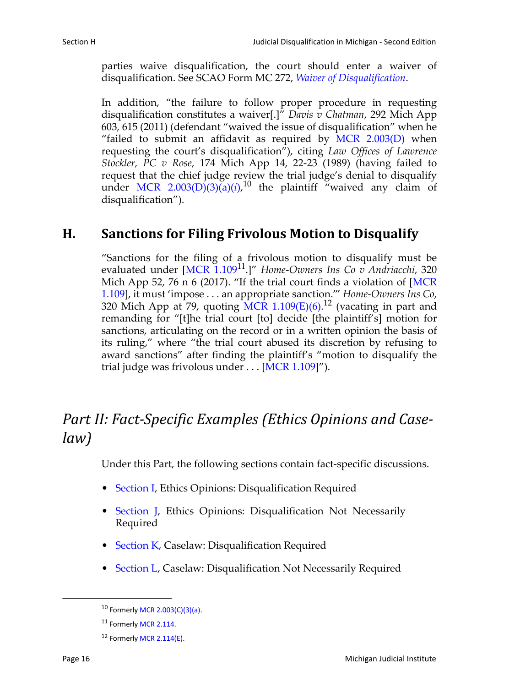parties waive disqualification, the court should enter a waiver of disqualification. See SCAO Form MC 272, *[Waiver of Disqualification](https://www.courts.michigan.gov/siteassets/forms/scao-approved/mc272.pdf)*.

<span id="page-21-12"></span><span id="page-21-11"></span><span id="page-21-5"></span><span id="page-21-3"></span>In addition, "the failure to follow proper procedure in requesting disqualification constitutes a waiver[.]" *Davis v Chatman*, 292 Mich App 603, 615 (2011) (defendant "waived the issue of disqualification" when he "failed to submit an affidavit as required by  $MCR$  2.003(D) when requesting the court's disqualification"), citing *Law Offices of Lawrence Stockler, PC v Rose*, 174 Mich App 14, 22-23 (1989) (having failed to request that the chief judge review the trial judge's denial to disqualify under MCR  $2.003(D)(3)(a)(i)$  $2.003(D)(3)(a)(i)$  $2.003(D)(3)(a)(i)$ ,<sup>10</sup> the plaintiff "waived any claim of disqualification").

## <span id="page-21-0"></span>**H. Sanctions for Filing Frivolous Motion to Disqualify**

<span id="page-21-9"></span><span id="page-21-8"></span><span id="page-21-7"></span><span id="page-21-6"></span><span id="page-21-4"></span><span id="page-21-2"></span>"Sanctions for the filing of a frivolous motion to disqualify must be evaluated under [\[MCR 1.1091](https://courts.michigan.gov/siteassets/rules-instructions-administrative-orders/michigan-court-rules/court-rules-book-ch-1-responsive-html5.zip/index.html)1.]" *Home-Owners Ins Co v Andriacchi*, 320 Mich App 52, 76 n 6 (2017). "If the trial court finds a violation of [\[MCR](https://courts.michigan.gov/siteassets/rules-instructions-administrative-orders/michigan-court-rules/court-rules-book-ch-1-responsive-html5.zip/index.html) [1.109](https://courts.michigan.gov/siteassets/rules-instructions-administrative-orders/michigan-court-rules/court-rules-book-ch-1-responsive-html5.zip/index.html)], it must 'impose . . . an appropriate sanction.'" *Home-Owners Ins Co*, 320 Mich App at 79, quoting MCR 1.109 $(E)(6)$ .<sup>12</sup> (vacating in part and remanding for "[t]he trial court [to] decide [the plaintiff's] motion for sanctions, articulating on the record or in a written opinion the basis of its ruling," where "the trial court abused its discretion by refusing to award sanctions" after finding the plaintiff's "motion to disqualify the trial judge was frivolous under . . . [\[MCR 1.109\]](https://courts.michigan.gov/siteassets/rules-instructions-administrative-orders/michigan-court-rules/court-rules-book-ch-1-responsive-html5.zip/index.html)").

## <span id="page-21-1"></span>*Part II: Fact-Specific Examples (Ethics Opinions and Caselaw)*

Under this Part, the following sections contain fact-specific discussions.

- [Section I](#page-23-0), Ethics Opinions: Disqualification Required
- [Section J,](#page-24-0) Ethics Opinions: Disqualification Not Necessarily Required
- [Section K](#page-27-0), Caselaw: Disqualification Required
- [Section L,](#page-30-0) Caselaw: Disqualification Not Necessarily Required

<span id="page-21-13"></span><span id="page-21-10"></span><sup>10</sup> Formerly [MCR 2.003\(C\)\(3\)\(a\)](https://courts.michigan.gov/siteassets/rules-instructions-administrative-orders/michigan-court-rules/court-rules-book-ch-2-responsive-html5.zip/index.html).

<span id="page-21-14"></span><sup>11</sup> Formerly [MCR 2.114](https://courts.michigan.gov/siteassets/rules-instructions-administrative-orders/michigan-court-rules/court-rules-book-ch-2-responsive-html5.zip/index.html).

 $12$  Formerly [MCR 2.114\(E\).](https://courts.michigan.gov/siteassets/rules-instructions-administrative-orders/michigan-court-rules/court-rules-book-ch-2-responsive-html5.zip/index.html)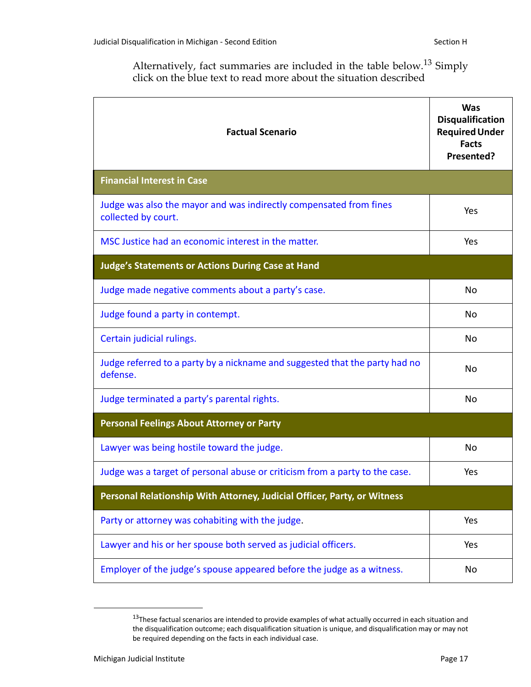Alternatively, fact summaries are included in the table below.13 Simply click on the blue text to read more about the situation described

<span id="page-22-11"></span><span id="page-22-10"></span><span id="page-22-4"></span><span id="page-22-3"></span><span id="page-22-2"></span><span id="page-22-0"></span>

| <b>Factual Scenario</b>                                                                   | <b>Was</b><br><b>Disqualification</b><br><b>Required Under</b><br><b>Facts</b><br>Presented? |
|-------------------------------------------------------------------------------------------|----------------------------------------------------------------------------------------------|
| <b>Financial Interest in Case</b>                                                         |                                                                                              |
| Judge was also the mayor and was indirectly compensated from fines<br>collected by court. | Yes                                                                                          |
| MSC Justice had an economic interest in the matter.                                       | Yes                                                                                          |
| <b>Judge's Statements or Actions During Case at Hand</b>                                  |                                                                                              |
| Judge made negative comments about a party's case.                                        | <b>No</b>                                                                                    |
| Judge found a party in contempt.                                                          | No                                                                                           |
| Certain judicial rulings.                                                                 | <b>No</b>                                                                                    |
| Judge referred to a party by a nickname and suggested that the party had no<br>defense.   | No                                                                                           |
| Judge terminated a party's parental rights.                                               | No                                                                                           |
| <b>Personal Feelings About Attorney or Party</b>                                          |                                                                                              |
| Lawyer was being hostile toward the judge.                                                | <b>No</b>                                                                                    |
| Judge was a target of personal abuse or criticism from a party to the case.               | Yes                                                                                          |
| Personal Relationship With Attorney, Judicial Officer, Party, or Witness                  |                                                                                              |
| Party or attorney was cohabiting with the judge.                                          | Yes                                                                                          |
| Lawyer and his or her spouse both served as judicial officers.                            | Yes                                                                                          |
| Employer of the judge's spouse appeared before the judge as a witness.                    | No                                                                                           |

<span id="page-22-9"></span><span id="page-22-8"></span><span id="page-22-7"></span><span id="page-22-6"></span><span id="page-22-5"></span><span id="page-22-1"></span> $13$ These factual scenarios are intended to provide examples of what actually occurred in each situation and the disqualification outcome; each disqualification situation is unique, and disqualification may or may not be required depending on the facts in each individual case.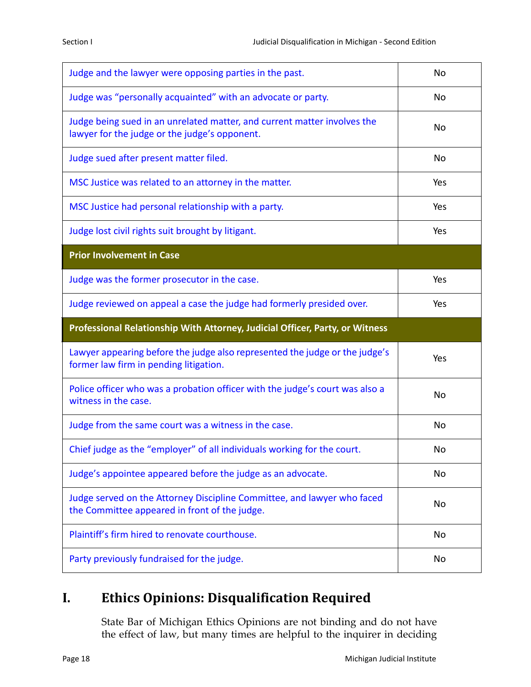<span id="page-23-18"></span><span id="page-23-17"></span><span id="page-23-16"></span><span id="page-23-15"></span><span id="page-23-14"></span><span id="page-23-7"></span><span id="page-23-6"></span><span id="page-23-3"></span><span id="page-23-2"></span>

| Judge and the lawyer were opposing parties in the past.                                                                   | No  |
|---------------------------------------------------------------------------------------------------------------------------|-----|
| Judge was "personally acquainted" with an advocate or party.                                                              | No  |
| Judge being sued in an unrelated matter, and current matter involves the<br>lawyer for the judge or the judge's opponent. | No  |
| Judge sued after present matter filed.                                                                                    | No  |
| MSC Justice was related to an attorney in the matter.                                                                     | Yes |
| MSC Justice had personal relationship with a party.                                                                       | Yes |
| Judge lost civil rights suit brought by litigant.                                                                         | Yes |
| <b>Prior Involvement in Case</b>                                                                                          |     |
| Judge was the former prosecutor in the case.                                                                              | Yes |
| Judge reviewed on appeal a case the judge had formerly presided over.                                                     | Yes |
|                                                                                                                           |     |
| Professional Relationship With Attorney, Judicial Officer, Party, or Witness                                              |     |
| Lawyer appearing before the judge also represented the judge or the judge's<br>former law firm in pending litigation.     | Yes |
| Police officer who was a probation officer with the judge's court was also a<br>witness in the case.                      | No  |
| Judge from the same court was a witness in the case.                                                                      | No  |
| Chief judge as the "employer" of all individuals working for the court.                                                   | No  |
| Judge's appointee appeared before the judge as an advocate.                                                               | No  |
| Judge served on the Attorney Discipline Committee, and lawyer who faced<br>the Committee appeared in front of the judge.  | No  |
| Plaintiff's firm hired to renovate courthouse.                                                                            | No  |

## <span id="page-23-13"></span><span id="page-23-11"></span><span id="page-23-10"></span><span id="page-23-9"></span><span id="page-23-8"></span><span id="page-23-5"></span><span id="page-23-4"></span><span id="page-23-1"></span><span id="page-23-0"></span>**I. Ethics Opinions: Disqualification Required**

<span id="page-23-12"></span>State Bar of Michigan Ethics Opinions are not binding and do not have the effect of law, but many times are helpful to the inquirer in deciding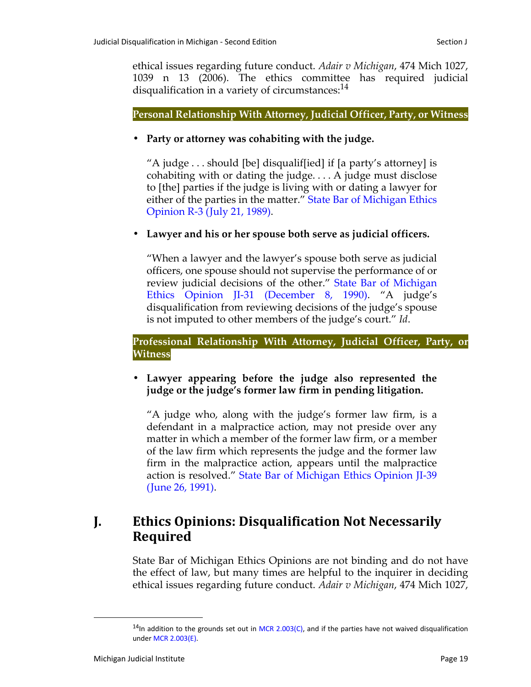<span id="page-24-8"></span>ethical issues regarding future conduct. *Adair v Michigan*, 474 Mich 1027, 1039 n 13 (2006). The ethics committee has required judicial disqualification in a variety of circumstances: $^{14}$ 

#### **Personal Relationship With Attorney, Judicial Officer, Party, or Witness**

#### <span id="page-24-7"></span><span id="page-24-1"></span>**• Party or attorney was cohabiting with the judge.**

"A judge . . . should [be] disqualif[ied] if [a party's attorney] is cohabiting with or dating the judge. . . . A judge must disclose to [the] parties if the judge is living with or dating a lawyer fo[r](http://www.michbar.org/opinions/ethics/numbered_opinions/OpinionID=852) either of the parties in the matter." [State Bar of Michigan Ethics](http://www.michbar.org/opinions/ethics/numbered_opinions/OpinionID=852) [Opinion R-3 \(July 21, 1989\)](http://www.michbar.org/opinions/ethics/numbered_opinions/OpinionID=852).

#### <span id="page-24-6"></span><span id="page-24-2"></span>**• Lawyer and his or her spouse both serve as judicial officers.**

"When a lawyer and the lawyer's spouse both serve as judicial officers, one spouse should not supervise the performance of o[r](http://www.michbar.org/opinions/ethics/numbered_opinions/OpinionID=740) review judicial decisions of the other." [State Bar of Michigan](http://www.michbar.org/opinions/ethics/numbered_opinions/OpinionID=740) [Ethics Opinion JI-31 \(December 8, 1990\).](http://www.michbar.org/opinions/ethics/numbered_opinions/OpinionID=740) "A judge's disqualification from reviewing decisions of the judge's spouse is not imputed to other members of the judge's court." *Id*.

#### **Professional Relationship With Attorney, Judicial Officer, Party, or Witness**

#### <span id="page-24-5"></span><span id="page-24-3"></span>**• Lawyer appearing before the judge also represented the judge or the judge's former law firm in pending litigation.**

"A judge who, along with the judge's former law firm, is a defendant in a malpractice action, may not preside over any matter in which a member of the former law firm, or a member of the law firm which represents the judge and the former law firm in the malpractice action, appears until the malpractice action is resolved." [State Bar of Michigan Ethics Opinion JI-39](http://www.michbar.org/opinions/ethics/numbered_opinions/OpinionID=748) [\(June 26, 1991\).](http://www.michbar.org/opinions/ethics/numbered_opinions/OpinionID=748)

## <span id="page-24-0"></span>**J. Ethics Opinions: Disqualification Not Necessarily Required**

<span id="page-24-9"></span><span id="page-24-4"></span>State Bar of Michigan Ethics Opinions are not binding and do not have the effect of law, but many times are helpful to the inquirer in deciding ethical issues regarding future conduct. *Adair v Michigan*, 474 Mich 1027,

<span id="page-24-11"></span><span id="page-24-10"></span> $14$ In addition to the grounds set out in [MCR 2.003\(C\)](https://courts.michigan.gov/siteassets/rules-instructions-administrative-orders/michigan-court-rules/court-rules-book-ch-2-responsive-html5.zip/index.html), and if the parties have not waived disqualification under [MCR 2.003\(E\)](https://courts.michigan.gov/siteassets/rules-instructions-administrative-orders/michigan-court-rules/court-rules-book-ch-2-responsive-html5.zip/index.html).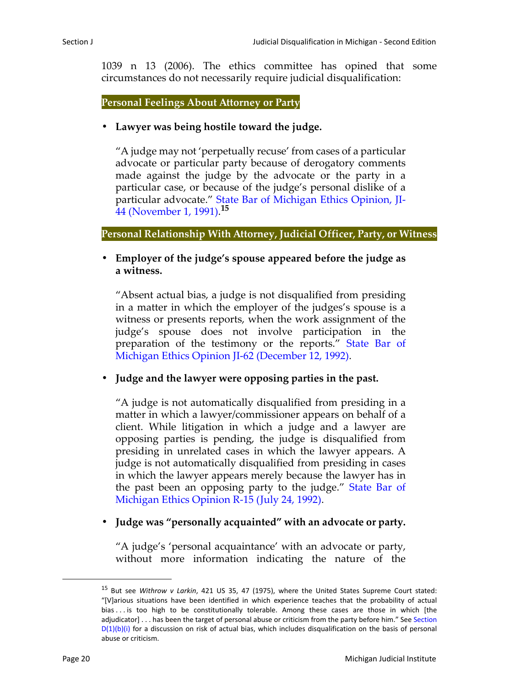1039 n 13 (2006). The ethics committee has opined that some circumstances do not necessarily require judicial disqualification:

**Personal Feelings About Attorney or Party**

<span id="page-25-7"></span><span id="page-25-0"></span>**• Lawyer was being hostile toward the judge.**

"A judge may not 'perpetually recuse' from cases of a particular advocate or particular party because of derogatory comments made against the judge by the advocate or the party in a particular case, or because of the judge's personal dislike of a particular advocate." [State Bar of Michigan Ethics Opinion, JI-](http://www.michbar.org/opinions/ethics/numbered_opinions/OpinionID=753)[44 \(November 1, 1991\).](http://www.michbar.org/opinions/ethics/numbered_opinions/OpinionID=753) **15**

**Personal Relationship With Attorney, Judicial Officer, Party, or Witness**

<span id="page-25-4"></span><span id="page-25-1"></span>**• Employer of the judge's spouse appeared before the judge as a witness.**

"Absent actual bias, a judge is not disqualified from presiding in a matter in which the employer of the judges's spouse is a witness or presents reports, when the work assignment of the judge's spouse does not involve participation in the preparation of the testimony or the reports." [State Bar of](http://www.michbar.org/opinions/ethics/numbered_opinions/OpinionID=771) [Michigan Ethics Opinion JI-62 \(December 12, 1992\)](http://www.michbar.org/opinions/ethics/numbered_opinions/OpinionID=771).

<span id="page-25-5"></span><span id="page-25-2"></span>**• Judge and the lawyer were opposing parties in the past.** 

"A judge is not automatically disqualified from presiding in a matter in which a lawyer/commissioner appears on behalf of a client. While litigation in which a judge and a lawyer are opposing parties is pending, the judge is disqualified from presiding in unrelated cases in which the lawyer appears. A judge is not automatically disqualified from presiding in cases in which the lawyer appears merely because the lawyer has in the past been an opposing party to the judge." [State Bar of](http://www.michbar.org/opinions/ethics/numbered_opinions/OpinionID=864) [Michigan Ethics Opinion R-15 \(July 24, 1992\).](http://www.michbar.org/opinions/ethics/numbered_opinions/OpinionID=864)

<span id="page-25-6"></span><span id="page-25-3"></span>**• Judge was "personally acquainted" with an advocate or party.**

"A judge's 'personal acquaintance' with an advocate or party, without more information indicating the nature of the

<span id="page-25-8"></span><sup>15</sup> But see *Withrow v Larkin*, 421 US 35, 47 (1975), where the United States Supreme Court stated: "[V]arious situations have been identified in which experience teaches that the probability of actual bias . . . is too high to be constitutionally tolerable. Among these cases are those in which [the adjudicator] . . . has been the target of personal abuse or criticism from the party before him." See [Section](#page-11-0)  $D(1)(b)(i)$  for a discussion on risk of actual bias, which includes disqualification on the basis of personal abuse or criticism.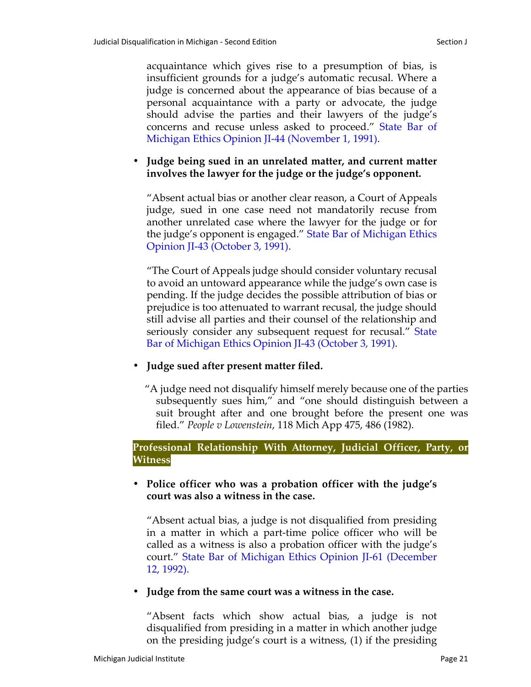acquaintance which gives rise to a presumption of bias, is insufficient grounds for a judge's automatic recusal. Where a judge is concerned about the appearance of bias because of a personal acquaintance with a party or advocate, the judge should advise the parties and their lawyers of the judge's concerns and recuse unless asked to proceed." [State Bar of](http://www.michbar.org/opinions/ethics/numbered_opinions/OpinionID=753) [Michigan Ethics Opinion JI-44 \(November 1, 1991\)](http://www.michbar.org/opinions/ethics/numbered_opinions/OpinionID=753).

#### <span id="page-26-0"></span>**• Judge being sued in an unrelated matter, and current matter involves the lawyer for the judge or the judge's opponent.**

<span id="page-26-4"></span>"Absent actual bias or another clear reason, a Court of Appeals judge, sued in one case need not mandatorily recuse from another unrelated case where the lawyer for the judge or for the judge's opponent is engaged." [State Bar of Michigan Ethics](http://www.michbar.org/opinions/ethics/numbered_opinions/OpinionID=752) [Opinion JI-43 \(October 3, 1991\).](http://www.michbar.org/opinions/ethics/numbered_opinions/OpinionID=752)

"The Court of Appeals judge should consider voluntary recusal to avoid an untoward appearance while the judge's own case is pending. If the judge decides the possible attribution of bias or prejudice is too attenuated to warrant recusal, the judge should still advise all parties and their counsel of the relationship an[d](http://www.michbar.org/opinions/ethics/numbered_opinions/OpinionID=752) seriously consider any subsequent request for recusal." [State](http://www.michbar.org/opinions/ethics/numbered_opinions/OpinionID=752) [Bar of Michigan Ethics Opinion JI-43 \(October 3, 1991\).](http://www.michbar.org/opinions/ethics/numbered_opinions/OpinionID=752)

#### <span id="page-26-3"></span>**• Judge sued after present matter filed.**

<span id="page-26-8"></span><span id="page-26-6"></span>"A judge need not disqualify himself merely because one of the parties subsequently sues him," and "one should distinguish between a suit brought after and one brought before the present one was filed." *People v Lowenstein*, 118 Mich App 475, 486 (1982).

#### **Professional Relationship With Attorney, Judicial Officer, Party, or Witness**

#### <span id="page-26-7"></span><span id="page-26-1"></span>**• Police officer who was a probation officer with the judge's court was also a witness in the case.**

"Absent actual bias, a judge is not disqualified from presiding in a matter in which a part-time police officer who will be called as a witness is also a probation officer with the judge's court." [State Bar of Michigan Ethics Opinion JI-61 \(December](http://www.michbar.org/opinions/ethics/numbered_opinions/OpinionID=770) [12, 1992\)](http://www.michbar.org/opinions/ethics/numbered_opinions/OpinionID=770).

<span id="page-26-5"></span><span id="page-26-2"></span>**• Judge from the same court was a witness in the case.**

"Absent facts which show actual bias, a judge is not disqualified from presiding in a matter in which another judge on the presiding judge's court is a witness, (1) if the presiding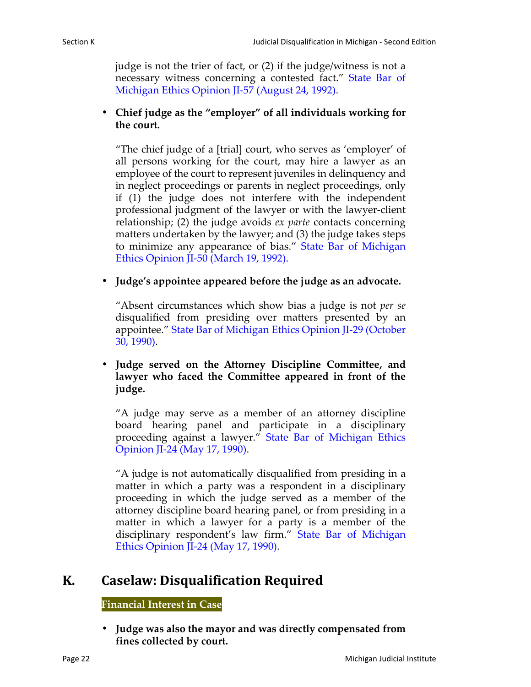judge is not the trier of fact, or (2) if the judge/witness is not a necessary witness concerning a contested fact." [State Bar of](http://www.michbar.org/opinions/ethics/numbered_opinions/OpinionID=766) [Michigan Ethics Opinion JI-57 \(August 24, 1992\)](http://www.michbar.org/opinions/ethics/numbered_opinions/OpinionID=766).

#### <span id="page-27-5"></span><span id="page-27-2"></span>**• Chief judge as the "employer" of all individuals working for the court.**

"The chief judge of a [trial] court, who serves as 'employer' of all persons working for the court, may hire a lawyer as an employee of the court to represent juveniles in delinquency and in neglect proceedings or parents in neglect proceedings, only if (1) the judge does not interfere with the independent professional judgment of the lawyer or with the lawyer-client relationship; (2) the judge avoids *ex parte* contacts concerning matters undertaken by the lawyer; and (3) the judge takes steps to minimize any appearance of bias." [State Bar of Michigan](http://www.michbar.org/opinions/ethics/numbered_opinions/OpinionID=759) [Ethics Opinion JI-50 \(March 19, 1992\).](http://www.michbar.org/opinions/ethics/numbered_opinions/OpinionID=759)

<span id="page-27-3"></span>**• Judge's appointee appeared before the judge as an advocate.**

<span id="page-27-7"></span>"Absent circumstances which show bias a judge is not *per se* disqualified from presiding over matters presented by an appointee." [State Bar of Michigan Ethics Opinion JI-29 \(October](http://www.michbar.org/opinions/ethics/numbered_opinions/OpinionID=738) [30, 1990\)](http://www.michbar.org/opinions/ethics/numbered_opinions/OpinionID=738).

<span id="page-27-6"></span><span id="page-27-4"></span>**• Judge served on the Attorney Discipline Committee, and lawyer who faced the Committee appeared in front of the judge.**

"A judge may serve as a member of an attorney discipline board hearing panel and participate in a disciplinar[y](http://www.michbar.org/opinions/ethics/numbered_opinions/OpinionID=733) proceeding against a lawyer." [State Bar of Michigan Ethics](http://www.michbar.org/opinions/ethics/numbered_opinions/OpinionID=733) [Opinion JI-24 \(May 17, 1990\)](http://www.michbar.org/opinions/ethics/numbered_opinions/OpinionID=733).

"A judge is not automatically disqualified from presiding in a matter in which a party was a respondent in a disciplinary proceeding in which the judge served as a member of the attorney discipline board hearing panel, or from presiding in a matter in which a lawyer for a party is a member of the disciplinary respondent's law firm." [State Bar of Michigan](http://www.michbar.org/opinions/ethics/numbered_opinions/OpinionID=733) [Ethics Opinion JI-24 \(May 17, 1990\)](http://www.michbar.org/opinions/ethics/numbered_opinions/OpinionID=733).

## <span id="page-27-0"></span>**K. Caselaw: Disqualification Required**

<span id="page-27-9"></span>**Financial Interest in Case**

<span id="page-27-8"></span><span id="page-27-1"></span>**• Judge was also the mayor and was directly compensated from fines collected by court.**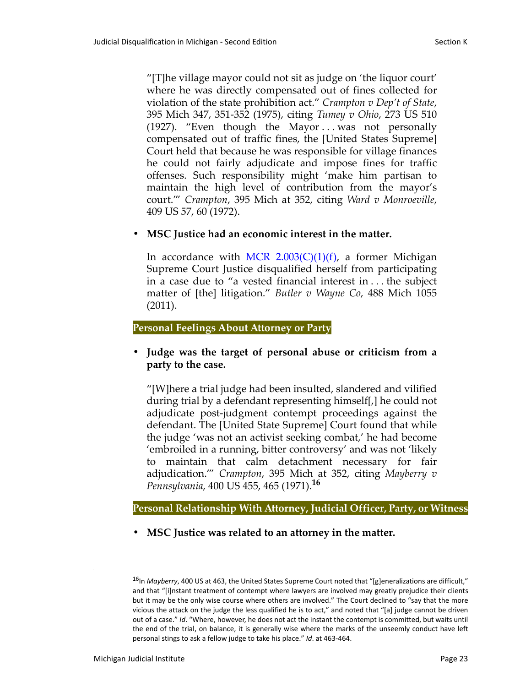<span id="page-28-11"></span><span id="page-28-7"></span>"[T]he village mayor could not sit as judge on 'the liquor court' where he was directly compensated out of fines collected for violation of the state prohibition act." *Crampton v Dep't of State*, 395 Mich 347, 351-352 (1975), citing *Tumey v Ohio*, 273 US 510 (1927). "Even though the Mayor . . . was not personally compensated out of traffic fines, the [United States Supreme] Court held that because he was responsible for village finances he could not fairly adjudicate and impose fines for traffic offenses. Such responsibility might 'make him partisan to maintain the high level of contribution from the mayor's court.'" *Crampton*, 395 Mich at 352, citing *Ward v Monroeville*, 409 US 57, 60 (1972).

<span id="page-28-8"></span><span id="page-28-0"></span>**• MSC Justice had an economic interest in the matter.** 

<span id="page-28-13"></span><span id="page-28-12"></span><span id="page-28-6"></span><span id="page-28-4"></span>In accordance with [MCR 2.003\(C\)\(1\)\(f\)](https://courts.michigan.gov/siteassets/rules-instructions-administrative-orders/michigan-court-rules/court-rules-book-ch-2-responsive-html5.zip/index.html), a former Michigan Supreme Court Justice disqualified herself from participating in a case due to "a vested financial interest in . . . the subject matter of [the] litigation." *Butler v Wayne Co*, 488 Mich 1055 (2011).

#### **Personal Feelings About Attorney or Party**

#### <span id="page-28-3"></span><span id="page-28-1"></span>**• Judge was the target of personal abuse or criticism from a party to the case.**

<span id="page-28-10"></span>"[W]here a trial judge had been insulted, slandered and vilified during trial by a defendant representing himself[,] he could not adjudicate post-judgment contempt proceedings against the defendant. The [United State Supreme] Court found that while the judge 'was not an activist seeking combat,' he had become 'embroiled in a running, bitter controversy' and was not 'likely to maintain that calm detachment necessary for fair adjudication.'" *Crampton*, 395 Mich at 352, citing *Mayberry v Pennsylvania*, 400 US 455, 465 (1971).**<sup>16</sup>**

#### <span id="page-28-9"></span>**Personal Relationship With Attorney, Judicial Officer, Party, or Witness**

<span id="page-28-5"></span><span id="page-28-2"></span>**• MSC Justice was related to an attorney in the matter.**

<sup>&</sup>lt;sup>16</sup>In *Mayberry*, 400 US at 463, the United States Supreme Court noted that "[g]eneralizations are difficult," and that "[i]nstant treatment of contempt where lawyers are involved may greatly prejudice their clients but it may be the only wise course where others are involved." The Court declined to "say that the more vicious the attack on the judge the less qualified he is to act," and noted that "[a] judge cannot be driven out of a case." *Id*. "Where, however, he does not act the instant the contempt is committed, but waits until the end of the trial, on balance, it is generally wise where the marks of the unseemly conduct have left personal stings to ask a fellow judge to take his place." *Id*. at 463-464.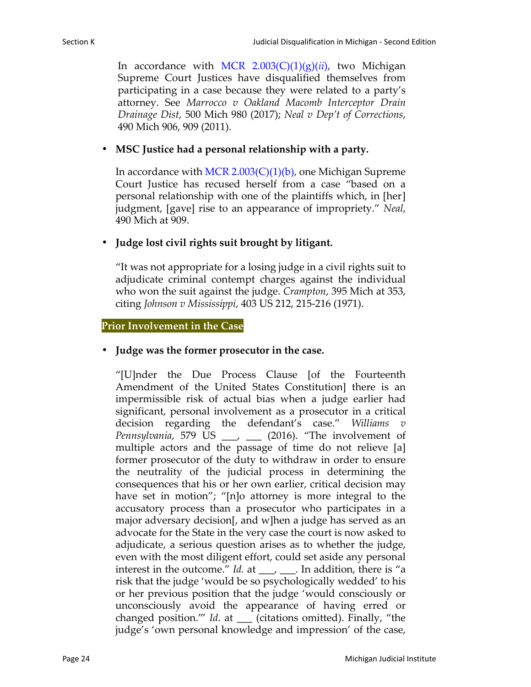<span id="page-29-12"></span><span id="page-29-9"></span><span id="page-29-8"></span>In accordance with [MCR 2.003\(C\)\(1\)\(g\)\(](https://courts.michigan.gov/siteassets/rules-instructions-administrative-orders/michigan-court-rules/court-rules-book-ch-2-responsive-html5.zip/index.html)*[ii](https://courts.michigan.gov/siteassets/rules-instructions-administrative-orders/michigan-court-rules/court-rules-book-ch-2-responsive-html5.zip/index.html)*[\),](https://courts.michigan.gov/siteassets/rules-instructions-administrative-orders/michigan-court-rules/court-rules-book-ch-2-responsive-html5.zip/index.html) two Michigan Supreme Court Justices have disqualified themselves from participating in a case because they were related to a party's attorney. See *Marrocco v Oakland Macomb Interceptor Drain Drainage Dist*, 500 Mich 980 (2017); *Neal v Dep't of Corrections*, 490 Mich 906, 909 (2011).

#### <span id="page-29-0"></span>**• MSC Justice had a personal relationship with a party.**

<span id="page-29-13"></span><span id="page-29-10"></span><span id="page-29-5"></span>In accordance with [MCR 2.003\(C\)\(1\)\(b\)](https://courts.michigan.gov/siteassets/rules-instructions-administrative-orders/michigan-court-rules/court-rules-book-ch-2-responsive-html5.zip/index.html), one Michigan Supreme Court Justice has recused herself from a case "based on a personal relationship with one of the plaintiffs which, in [her] judgment, [gave] rise to an appearance of impropriety." *Neal*, 490 Mich at 909.

#### <span id="page-29-1"></span>**• Judge lost civil rights suit brought by litigant.**

<span id="page-29-7"></span><span id="page-29-6"></span><span id="page-29-3"></span>"It was not appropriate for a losing judge in a civil rights suit to adjudicate criminal contempt charges against the individual who won the suit against the judge. *Crampton*, 395 Mich at 353, citing *Johnson v Mississippi*, 403 US 212, 215-216 (1971).

#### **Prior Involvement in the Case**

#### <span id="page-29-4"></span><span id="page-29-2"></span>**• Judge was the former prosecutor in the case.**

<span id="page-29-11"></span>"[U]nder the Due Process Clause [of the Fourteenth Amendment of the United States Constitution] there is an impermissible risk of actual bias when a judge earlier had significant, personal involvement as a prosecutor in a critical decision regarding the defendant's case." *Williams v* Pennsylvania, 579 US \_\_\_, \_\_\_ (2016). "The involvement of multiple actors and the passage of time do not relieve [a] former prosecutor of the duty to withdraw in order to ensure the neutrality of the judicial process in determining the consequences that his or her own earlier, critical decision may have set in motion"; "[n]o attorney is more integral to the accusatory process than a prosecutor who participates in a major adversary decision[, and w]hen a judge has served as an advocate for the State in the very case the court is now asked to adjudicate, a serious question arises as to whether the judge, even with the most diligent effort, could set aside any personal interest in the outcome." *Id.* at \_\_\_, \_\_\_. In addition, there is "a risk that the judge 'would be so psychologically wedded' to his or her previous position that the judge 'would consciously or unconsciously avoid the appearance of having erred or changed position.'" *Id*. at \_\_\_ (citations omitted). Finally, "the judge's 'own personal knowledge and impression' of the case,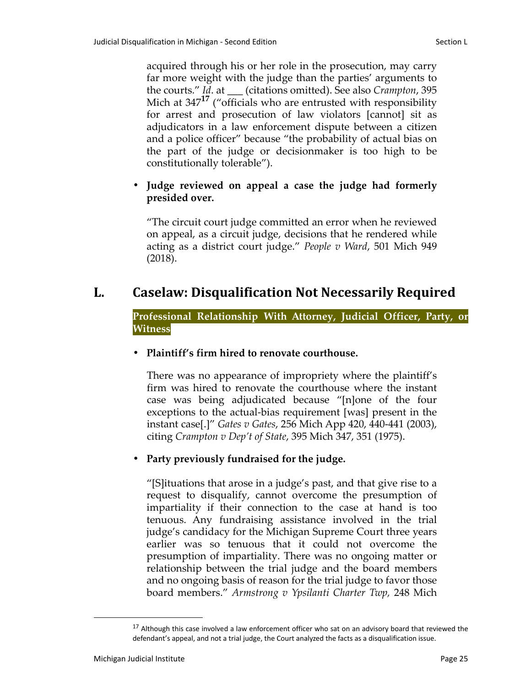<span id="page-30-10"></span>acquired through his or her role in the prosecution, may carry far more weight with the judge than the parties' arguments to the courts." *Id*. at \_\_\_ (citations omitted). See also *Crampton*, 395 Mich at 347**17** ("officials who are entrusted with responsibility for arrest and prosecution of law violators [cannot] sit as adjudicators in a law enforcement dispute between a citizen and a police officer" because "the probability of actual bias on the part of the judge or decisionmaker is too high to be constitutionally tolerable").

#### <span id="page-30-7"></span><span id="page-30-1"></span>**• Judge reviewed on appeal a case the judge had formerly presided over.**

<span id="page-30-12"></span>"The circuit court judge committed an error when he reviewed on appeal, as a circuit judge, decisions that he rendered while acting as a district court judge." *People v Ward*, 501 Mich 949 (2018).

## <span id="page-30-0"></span>**L. Caselaw: Disqualification Not Necessarily Required**

<span id="page-30-6"></span>**Professional Relationship With Attorney, Judicial Officer, Party, or Witness**

#### <span id="page-30-5"></span><span id="page-30-2"></span>**• Plaintiff's firm hired to renovate courthouse.**

<span id="page-30-11"></span>There was no appearance of impropriety where the plaintiff's firm was hired to renovate the courthouse where the instant case was being adjudicated because "[n]one of the four exceptions to the actual-bias requirement [was] present in the instant case[.]" *Gates v Gates*, 256 Mich App 420, 440-441 (2003), citing *Crampton v Dep't of State*, 395 Mich 347, 351 (1975).

#### <span id="page-30-9"></span><span id="page-30-4"></span><span id="page-30-3"></span>**• Party previously fundraised for the judge.**

"[S]ituations that arose in a judge's past, and that give rise to a request to disqualify, cannot overcome the presumption of impartiality if their connection to the case at hand is too tenuous. Any fundraising assistance involved in the trial judge's candidacy for the Michigan Supreme Court three years earlier was so tenuous that it could not overcome the presumption of impartiality. There was no ongoing matter or relationship between the trial judge and the board members and no ongoing basis of reason for the trial judge to favor those board members." *Armstrong v Ypsilanti Charter Twp,* 248 Mich

<span id="page-30-8"></span> $17$  Although this case involved a law enforcement officer who sat on an advisory board that reviewed the defendant's appeal, and not a trial judge, the Court analyzed the facts as a disqualification issue.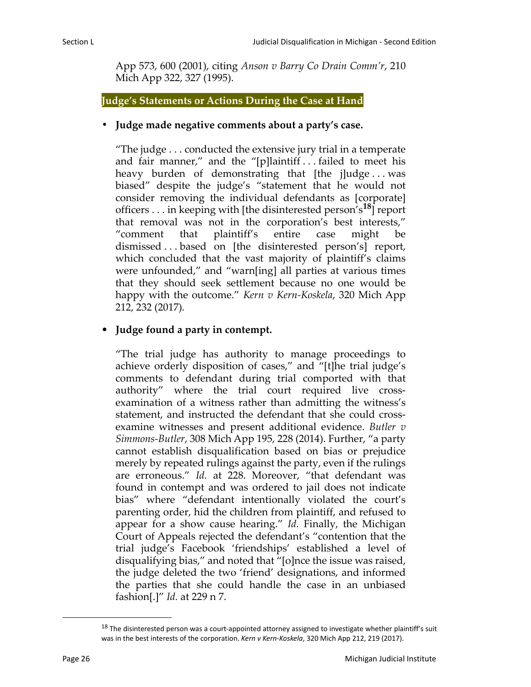<span id="page-31-4"></span>App 573, 600 (2001), citing *Anson v Barry Co Drain Comm'r*, 210 Mich App 322, 327 (1995).

#### **Judge's Statements or Actions During the Case at Hand**

#### <span id="page-31-3"></span><span id="page-31-0"></span>**• Judge made negative comments about a party's case.**

"The judge . . . conducted the extensive jury trial in a temperate and fair manner," and the "[p]laintiff . . . failed to meet his heavy burden of demonstrating that [the j]udge . . . was biased" despite the judge's "statement that he would not consider removing the individual defendants as [corporate] officers . . . in keeping with [the disinterested person's**18**] report that removal was not in the corporation's best interests," "comment that plaintiff's entire case might be dismissed . . . based on [the disinterested person's] report, which concluded that the vast majority of plaintiff's claims were unfounded," and "warn[ing] all parties at various times that they should seek settlement because no one would be happy with the outcome." *Kern v Kern-Koskela*, 320 Mich App 212, 232 (2017)*.*

#### <span id="page-31-2"></span><span id="page-31-1"></span>• **Judge found a party in contempt.**

<span id="page-31-6"></span><span id="page-31-5"></span>"The trial judge has authority to manage proceedings to achieve orderly disposition of cases," and "[t]he trial judge's comments to defendant during trial comported with that authority" where the trial court required live crossexamination of a witness rather than admitting the witness's statement, and instructed the defendant that she could crossexamine witnesses and present additional evidence. *Butler v Simmons-Butler*, 308 Mich App 195, 228 (2014). Further, "a party cannot establish disqualification based on bias or prejudice merely by repeated rulings against the party, even if the rulings are erroneous." *Id.* at 228. Moreover, "that defendant was found in contempt and was ordered to jail does not indicate bias" where "defendant intentionally violated the court's parenting order, hid the children from plaintiff, and refused to appear for a show cause hearing." *Id.* Finally, the Michigan Court of Appeals rejected the defendant's "contention that the trial judge's Facebook 'friendships' established a level of disqualifying bias," and noted that "[o]nce the issue was raised, the judge deleted the two 'friend' designations, and informed the parties that she could handle the case in an unbiased fashion[.]" *Id.* at 229 n 7.

<span id="page-31-7"></span><sup>&</sup>lt;sup>18</sup> The disinterested person was a court-appointed attorney assigned to investigate whether plaintiff's suit was in the best interests of the corporation. *Kern v Kern-Koskela*, 320 Mich App 212, 219 (2017).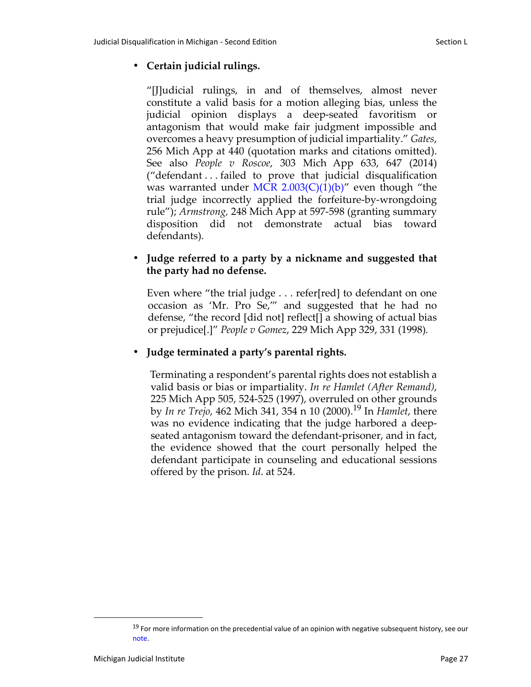#### <span id="page-32-3"></span><span id="page-32-0"></span>**• Certain judicial rulings.**

<span id="page-32-12"></span><span id="page-32-11"></span><span id="page-32-7"></span>"[J]udicial rulings, in and of themselves, almost never constitute a valid basis for a motion alleging bias, unless the judicial opinion displays a deep-seated favoritism or antagonism that would make fair judgment impossible and overcomes a heavy presumption of judicial impartiality." *Gates*, 256 Mich App at 440 (quotation marks and citations omitted). See also *People v Roscoe*, 303 Mich App 633, 647 (2014) ("defendant . . . failed to prove that judicial disqualification was warranted under MCR  $2.003(C)(1)(b)''$  even though "the trial judge incorrectly applied the forfeiture-by-wrongdoing rule"); *Armstrong,* 248 Mich App at 597-598 (granting summary disposition did not demonstrate actual bias toward defendants).

#### <span id="page-32-6"></span><span id="page-32-4"></span><span id="page-32-1"></span>**• Judge referred to a party by a nickname and suggested that the party had no defense.**

<span id="page-32-10"></span>Even where "the trial judge . . . refer[red] to defendant on one occasion as 'Mr. Pro Se,'" and suggested that he had no defense, "the record [did not] reflect[] a showing of actual bias or prejudice[.]" *People v Gomez*, 229 Mich App 329, 331 (1998)*.*

#### <span id="page-32-5"></span><span id="page-32-2"></span>**• Judge terminated a party's parental rights.**

<span id="page-32-9"></span><span id="page-32-8"></span>Terminating a respondent's parental rights does not establish a valid basis or bias or impartiality. *In re Hamlet (After Remand)*, 225 Mich App 505, 524-525 (1997), overruled on other grounds by *In re Trejo*, 462 Mich 341, 354 n 10 (2000).19 In *Hamlet*, there was no evidence indicating that the judge harbored a deepseated antagonism toward the defendant-prisoner, and in fact, the evidence showed that the court personally helped the defendant participate in counseling and educational sessions offered by the prison. *Id*. at 524.

<sup>&</sup>lt;sup>19</sup> For more information on the precedential value of an opinion with negative subsequent history, see our [note.](#page-2-1)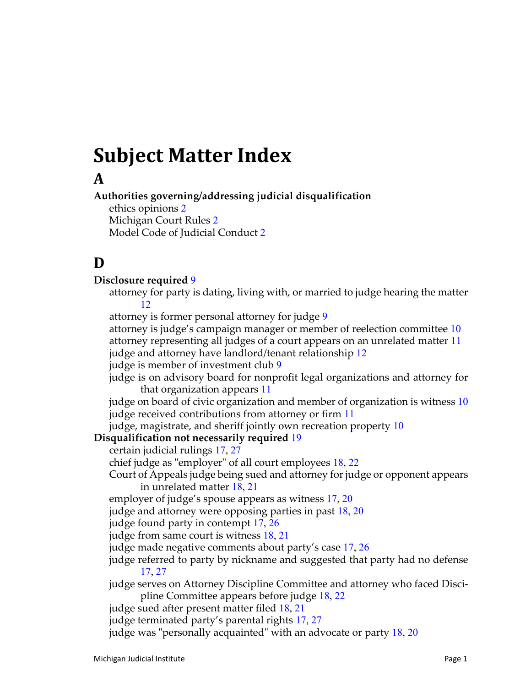# **Subject Matter Index**

## **A**

**Authorities gover[ning/addressing judicial disqualification](#page-7-1)**

ethics opinions 2 Michigan Court Rules [2](#page-7-2) Model Code of Judicial Conduct [2](#page-7-3)

## **D**

#### **Disclosure required** [9](#page-14-1)

attorney for party is dating, living with, or married to judge hearing the matter [12](#page-17-2)

attorney is former personal attorney for judge [9](#page-14-2)

attorney is judge's campaign manager or member of reelection committee [10](#page-15-0) attorney representing all judges of a court appears on [an unrelated matter](#page-17-3) [11](#page-16-0) judge and attorney have landlord/te[nant relationship](#page-14-3) 12

judge is member of investment club 9

judge is on advisory board for n[onprofit legal organizations and attorney for](#page-16-1) that organization appears 11

judge on board of civic organization and member o[f organization is witness](#page-16-2) [10](#page-15-1) judge received contributions from attorney or firm 11

judge, magistrate, and sheriff jointly o[wn recreation property](#page-24-4) [10](#page-15-2)

#### **Disqualification not necessa[rily required](#page-32-3)** 19

certain judicial rulings [17](#page-22-0), 27

chief judge as "employer" of all court employees [18](#page-23-1), [22](#page-27-5)

Court of Appeals judge being [sued and attorney for judge or opponent appears](#page-26-4) in unrelated matter [18,](#page-23-2) 21

employer of judge's spouse appears as witness [17,](#page-22-1) [20](#page-25-4)

judge and attorney were opposing [parties in past](#page-31-2) [18](#page-23-3), [20](#page-25-5)

judge found party in contempt [17](#page-22-2), 26

judge from same court is witness [18,](#page-23-4) [21](#page-26-5)

judge made negative comments about party's case [17,](#page-22-3) [26](#page-31-3)

judge referred to party by nickname and suggested that party had no defense [17](#page-22-4), [27](#page-32-4)

judge serves on Attorney Discipline Committee [and attorney who faced Disci](#page-27-6)pline Committee appears before judge [18](#page-23-5), 22

judge sued after present matter filed [18,](#page-23-6) [21](#page-26-6)

judge terminated party's parental rights [17](#page-22-5), [27](#page-32-5)

judge was "personally acquainted" with an advocate or party  $18, 20$  $18, 20$  $18, 20$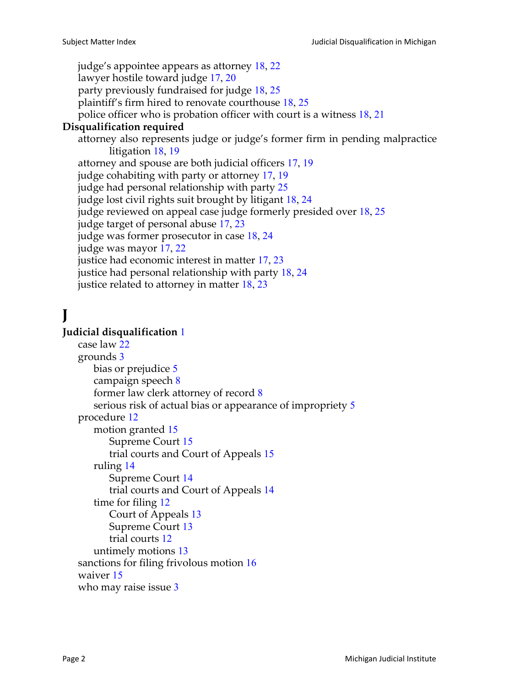judge's appointee appears as attorney [18,](#page-23-8) [22](#page-27-7) lawyer hostile toward judge [17](#page-22-6), [20](#page-25-7) party previously fundraised for judge [18](#page-23-9), [25](#page-30-4) plaintiff's firm hired to renovate courthouse [18](#page-23-10), [25](#page-30-5) police officer who is probation officer with court is a witness [18,](#page-23-11) [21](#page-26-7) **[Disqualification required](#page-23-12)** attorney also repre[sents judge or judge's former firm in pending malpractice](#page-24-5) litigation [18,](#page-23-13) 19 attorney and spouse are both judicial officers [17](#page-22-7), [19](#page-24-6) judge cohabiting with party or attorney [17](#page-22-8), [19](#page-24-7) judge had personal relationship with party [25](#page-30-6) judge lost civil rights suit brought by litigant [18,](#page-23-14) [24](#page-29-3) judge reviewed on appeal case ju[dge formerly presided over](#page-28-3) [18](#page-23-15), [25](#page-30-7) judge target of personal abuse [17,](#page-22-9) 23 judge was former pr[osecutor in case](#page-27-8) [18,](#page-23-16) [24](#page-29-4) judge was mayor [17](#page-22-10), 22 justice had economic interest in matter [17](#page-22-11), [23](#page-28-4) justice had personal relationship with party [18](#page-23-17), [24](#page-29-5) justice related to attorney in matter [18,](#page-23-18) [23](#page-28-5)

# **J**

#### **Judicial dis[qualification](#page-27-9)** [1](#page-6-3)

case law 22 grounds [3](#page-8-3) bias or prejudice [5](#page-10-0) campaign speech [8](#page-13-1) former law clerk attorney of record [8](#page-13-2) serious [risk of actual bias or appearance of impropriety](#page-17-4) [5](#page-10-1) procedure 12 motion granted [15](#page-20-2) Supreme Court [15](#page-20-3) tri[al courts and Court of Appeals](#page-19-1) [15](#page-20-4) ruling 14 Supreme Court [14](#page-19-2) trial courts [and Court of Appeals](#page-17-5) [14](#page-19-3) time for filing 12 Court of Appeals [13](#page-18-1) Supreme Court [13](#page-18-2) trial courts [12](#page-17-6) untimely motions [13](#page-18-3) sanctio[ns for filing frivolous motion](#page-20-5) [16](#page-21-2) waiver 15 who may raise issue [3](#page-8-4)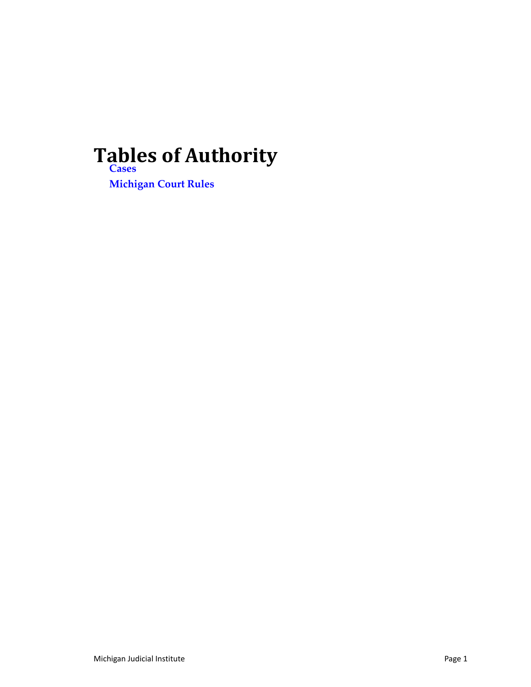# **Tables of Authority Cases**

**[Michigan Court Rules](#page-42-0)**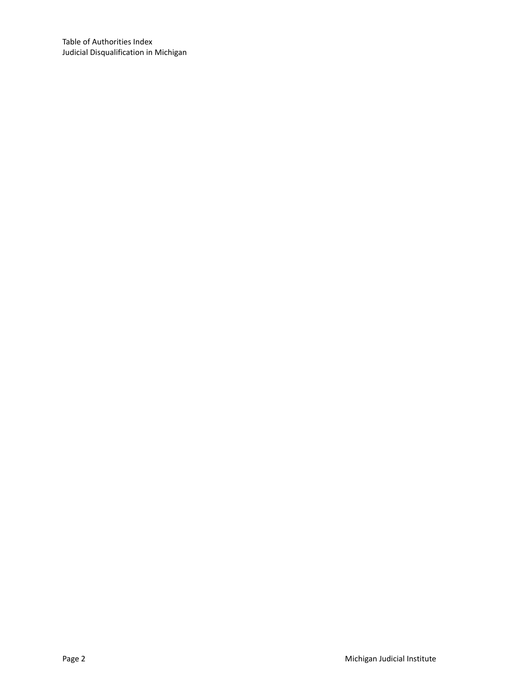Table of Authorities Index Judicial Disqualification in Michigan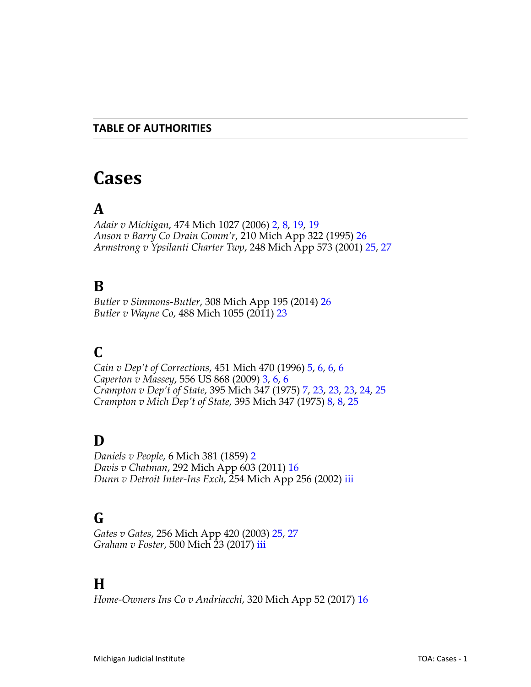#### **TABLE OF AUTHORITIES**

## <span id="page-38-0"></span>**Cases**

## **A**

*Adair v Michigan*, 474 Mich 1027 (2006) [2,](#page-7-4) [8,](#page-13-3) [19,](#page-24-8) [19](#page-24-9) *Anson v Barry Co Drain Comm'r*, 210 Mich App 322 (1995) [26](#page-31-4) *Armstrong v Ypsilanti Charter Twp*, 248 Mich App 573 (2001) [25,](#page-30-8) [27](#page-32-6)

## **B**

*Butler v Simmons-Butler*, 308 Mich App [195 \(2014\)](#page-28-6) [26](#page-31-5) *Butler v Wayne Co*, 488 Mich 1055 (2011) 23

## **C**

*Cain v Dep't of Corrections*, 451 Mich 470 ([1996\)](#page-11-5) [5](#page-10-2)[,](#page-11-5) [6](#page-11-1)[,](#page-11-5) [6](#page-11-2)[,](#page-11-5) [6](#page-11-3) *Caperton v Massey*, 556 US 868 (2009) [3,](#page-8-5) [6,](#page-11-4) 6 *Crampton v Dep't of State*, 395 Mich 347 (1975) [7](#page-12-0), [23](#page-28-7), [23,](#page-28-8) [23](#page-28-9)[,](#page-30-10) [24](#page-29-6)[,](#page-30-10) [25](#page-30-9) *Crampton v Mich Dep't of State*, 395 Mich 347 (1975) [8,](#page-13-4) [8,](#page-13-5) 25

## **D**

*Daniels v People*, 6 Mich 381 (1859) [2](#page-7-5) *Davis v Chatman*, 292 Mich App 603 (2011) [16](#page-21-3) *Dunn v Detroit Inter-Ins Exch*, 254 Mich App 256 (2002) [iii](#page-2-2)

## **G**

*Gates v Gates*, 256 Mich App 420 (20[03\)](#page-2-3) [25](#page-30-11)[,](#page-2-3) [27](#page-32-7) *Graham v Foster*, 500 Mich 23 (2017) iii

## **H**

*Home-Owners Ins Co v Andriacchi*, 320 Mich App 52 (2017) [16](#page-21-4)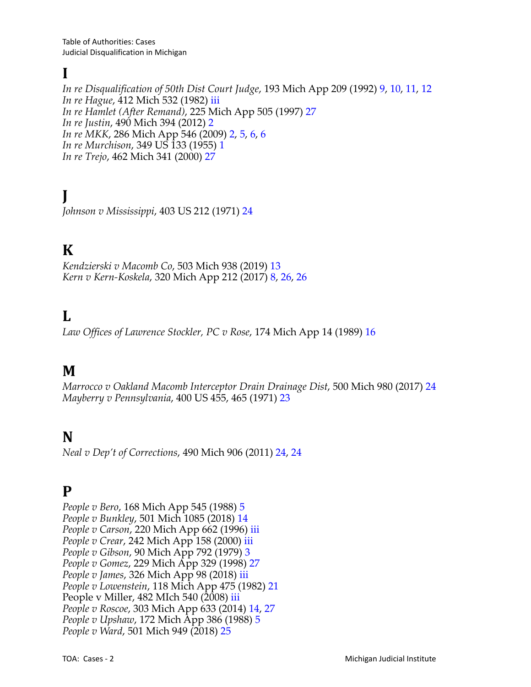Table of Authorities: Cases Judicial Disqualification in Michigan

## **I**

*In re Disqualification of 50th Dist Court Judge*[, 193 Mich App 209 \(1992\)](#page-2-4) [9](#page-14-4)[,](#page-2-4) [10](#page-15-3)[,](#page-2-4) [11](#page-16-3)[,](#page-2-4) [12](#page-17-7) *In re Hague*, 412 Mich 532 (1982) iii *In re Hamlet (After Remand)*, 225 [Mich App 505 \(1997\)](#page-7-6) [27](#page-32-8) *In re Justin*, 490 Mich 394 (2012) 2 *In re MKK*, 286 Mich App 546 (200[9\)](#page-6-4) [2](#page-7-7)[,](#page-6-4) [5](#page-10-3)[,](#page-6-4) [6](#page-11-6)[,](#page-6-4) [6](#page-11-7) *In re Murchison*, 349 US 133 (1955) 1 *In re Trejo*, 462 Mich 341 (2000) [27](#page-32-9)

## **J**

*Johnson v Mississippi*, 403 US 212 (1971) [24](#page-29-7)

## **K**

*Kendzierski v Macomb Co*, 503 Mich 938 (2019) [13](#page-18-4) *Kern v Kern-Koskela*, 320 Mich App 212 (2017) [8](#page-13-6), [26](#page-31-6), [26](#page-31-7)

## **L**

*Law Offices of Lawrence Stockler, PC v Rose*, 174 Mich App 14 (1989) [16](#page-21-5)

## **M**

*Marrocco v Oakland Macomb Interceptor Drain Drainage Dist*[, 500 Mich 980 \(2017\)](#page-28-10) [24](#page-29-8) *Mayberry v Pennsylvania*, 400 US 455, 465 (1971) 23

## **N**

*Neal v Dep't of Corrections*, 490 Mich 906 (2011) [24,](#page-29-9) [24](#page-29-10)

## **P**

*People v Bero*, 168 Mich App 545 (1988) [5](#page-10-4) *People v Bunkley*, 501 Mich 1085 (2018) [14](#page-19-4) *People v Carson*, 220 Mich App 662 (1996) [iii](#page-2-5) *People v Crear,* 242 Mich App 158 (2000) *[iii](#page-2-6) People v Gibson*, 90 Mich App 792 (1979) [3](#page-8-6) *People v Gomez*, 229 Mich App 329 (1998) [27](#page-32-10) *People v James, 326 Mich App 98 (2018) iii People v Lowenstein*, 118 Mich App 47[5 \(1982\)](#page-2-8) [21](#page-26-8) People v Miller, 482 MIch 540 (2008) iii *People v Roscoe*, 303 Mich App 633 (2014) [14](#page-19-5), [27](#page-32-11) *People v Upshaw*, 172 Mich App 386 (1988) [5](#page-10-5) *People v Ward*, 501 Mich 949 (2018) [25](#page-30-12)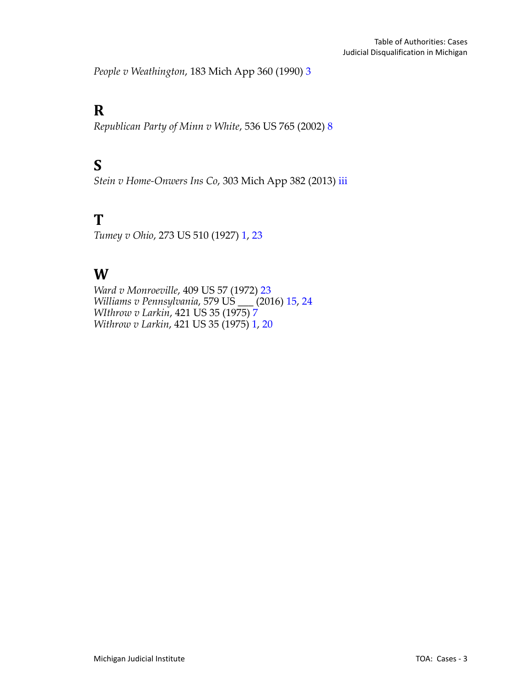*People v Weathington*, 183 Mich App 360 (1990) [3](#page-8-7)

## **R**

*Republican Party of Minn v White*, 536 US 765 (2002) [8](#page-13-7)

## **S**

*Stein v Home-Onwers Ins Co*, 303 Mich App 382 (2013) [iii](#page-2-9)

## **T**

*Tumey v Ohio*, 273 US 510 (1927) [1,](#page-6-5) [23](#page-28-11)

## **W**

*Ward v Monroeville*, 409 US 57 (1972) [23](#page-28-12) *Williams v Pennsylvania*, 579 US \_\_[\\_ \(2016\)](#page-12-1) [15](#page-20-6)[,](#page-12-1) [24](#page-29-11) *WIthrow v Larkin*, 421 US 35 (1975) 7 *Withrow v Larkin*, 421 US 35 (1975) [1,](#page-6-6) [20](#page-25-8)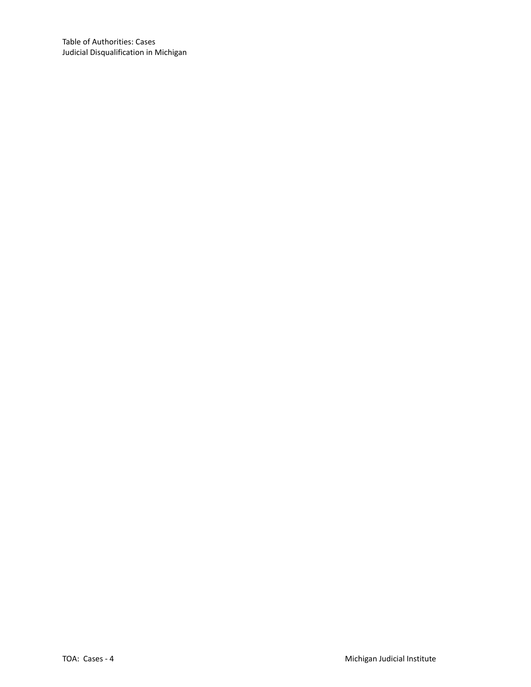Table of Authorities: Cases Judicial Disqualification in Michigan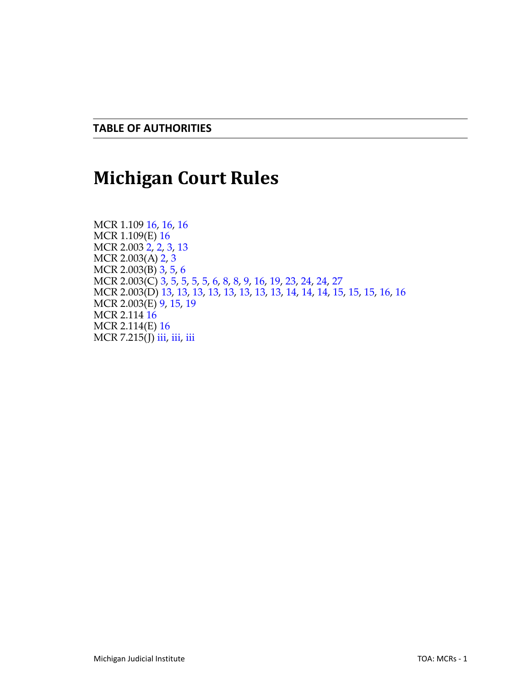## <span id="page-42-0"></span>**Michigan Court Rules**

MCR 1.109 [16,](#page-21-6) [16,](#page-21-7) [16](#page-21-8) MCR 1.109(E) [16](#page-21-9) MCR 2.003 [2,](#page-7-9) 2, [3,](#page-8-8) [13](#page-18-5) MCR 2.003(A) [2](#page-7-10), [3](#page-8-9) MCR 2.003(B) [3](#page-8-10), [5](#page-10-6), [6](#page-11-8) MCR 2.003(C) [3](#page-8-11), [5](#page-10-10), 5, 5, 5, [6](#page-11-9), [8](#page-13-9), 8, [9](#page-14-5), [16](#page-21-10), [19](#page-24-10), [23](#page-28-13), [24](#page-29-13), 24, [27](#page-32-12) MCR 2.003(D) [13](#page-18-6), [13](#page-18-7)[,](#page-24-11) [13](#page-18-8)[,](#page-24-11) [13](#page-18-9)[,](#page-24-11) [13](#page-18-10)[,](#page-24-11) [13](#page-18-11)[,](#page-24-11) [13](#page-18-12)[,](#page-24-11) [13](#page-18-13)[,](#page-24-11) [14](#page-19-6)[,](#page-24-11) [14](#page-19-7)[,](#page-24-11) [14](#page-19-8)[,](#page-24-11) [15](#page-20-7)[,](#page-24-11) [15](#page-20-8)[,](#page-24-11) [15](#page-20-9)[,](#page-24-11) [16](#page-21-11)[,](#page-24-11) [16](#page-21-12) MCR 2.003[\(E\)](#page-21-13) [9](#page-14-6)[,](#page-21-13) [15](#page-20-10)[, 19](#page-21-13) MCR 2.114 16 MCR 2.114(E) [16](#page-21-14) MCR 7.215(J) [iii,](#page-2-10) [iii](#page-2-11), [iii](#page-2-12)